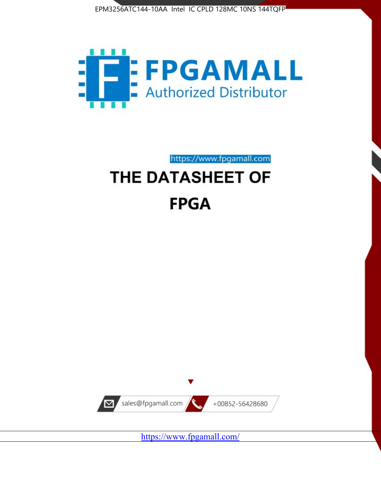



https://www.fpgamall.com

# THE DATASHEET OF **FPGA**



<https://www.fpgamall.com/>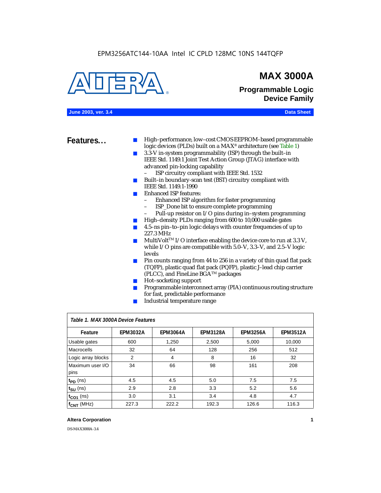### EPM3256ATC144-10AA Intel IC CPLD 128MC 10NS 144TQFP



### **MAX 3000A**

**Programmable Logic Device Family**

### **June 2003, ver. 3.4 Data Sheet**

- **Features...** High–performance, low–cost CMOS EEPROM–based programmable logic devices (PLDs) built on a MAX® architecture (see Table 1)
	- 3.3-V in-system programmability (ISP) through the built–in IEEE Std. 1149.1 Joint Test Action Group (JTAG) interface with advanced pin-locking capability
		- ISP circuitry compliant with IEEE Std. 1532
	- Built–in boundary-scan test (BST) circuitry compliant with IEEE Std. 1149.1-1990
	- **Enhanced ISP features:** 
		- Enhanced ISP algorithm for faster programming
		- ISP\_Done bit to ensure complete programming
		- Pull-up resistor on I/O pins during in–system programming
	- High-density PLDs ranging from 600 to 10,000 usable gates
	- 4.5–ns pin–to–pin logic delays with counter frequencies of up to 227.3 MHz
	- $\blacksquare$  MultiVolt<sup>TM</sup> I/O interface enabling the device core to run at 3.3 V, while I/O pins are compatible with 5.0–V, 3.3–V, and 2.5–V logic levels
	- Pin counts ranging from 44 to 256 in a variety of thin quad flat pack (TQFP), plastic quad flat pack (PQFP), plastic J–lead chip carrier (PLCC), and FineLine BGATM packages
	- Hot–socketing support
	- Programmable interconnect array (PIA) continuous routing structure for fast, predictable performance
	- Industrial temperature range

| Table 1. MAX 3000A Device Features |                 |                 |                 |                 |                 |  |  |
|------------------------------------|-----------------|-----------------|-----------------|-----------------|-----------------|--|--|
| Feature                            | <b>EPM3032A</b> | <b>EPM3064A</b> | <b>EPM3128A</b> | <b>EPM3256A</b> | <b>EPM3512A</b> |  |  |
| Usable gates                       | 600             | 1,250           | 2,500           | 5,000           | 10,000          |  |  |
| Macrocells                         | 32              | 64              | 128             | 256             | 512             |  |  |
| Logic array blocks                 | 2               | 4               | 8               | 16              | 32              |  |  |
| Maximum user I/O                   | 34              | 66              | 98              | 161             | 208             |  |  |
| pins                               |                 |                 |                 |                 |                 |  |  |
| $t_{PD}$ (ns)                      | 4.5             | 4.5             | 5.0             | 7.5             | 7.5             |  |  |
| $t_{\text{SU}}$ (ns)               | 2.9             | 2.8             | 3.3             | 5.2             | 5.6             |  |  |
| $t_{CO1}$ (ns)                     | 3.0             | 3.1             | 3.4             | 4.8             | 4.7             |  |  |
| $f_{CNT}$ (MHz)                    | 227.3           | 222.2           | 192.3           | 126.6           | 116.3           |  |  |

### **Altera Corporation 1**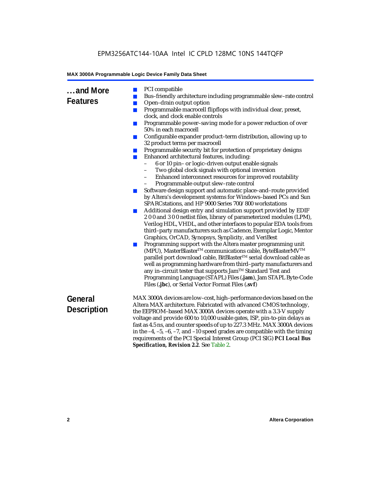**...and More** 

### **Features**

- 
- PCI compatible<br>■ Bus-friendly are Bus-friendly architecture including programmable slew-rate control
- Open–drain output option
- Programmable macrocell flipflops with individual clear, preset, clock, and clock enable controls
- Programmable power–saving mode for a power reduction of over 50% in each macrocell
- Configurable expander product-term distribution, allowing up to 32 product terms per macrocell
- Programmable security bit for protection of proprietary designs
- Enhanced architectural features, including:
	- 6 or 10 pin– or logic–driven output enable signals
	- Two global clock signals with optional inversion
	- Enhanced interconnect resources for improved routability
	- Programmable output slew–rate control
- Software design support and automatic place-and-route provided by Altera's development systems for Windows–based PCs and Sun SPARCstations, and HP 9000 Series 700/800 workstations
- Additional design entry and simulation support provided by EDIF 2 0 0 and 3 0 0 netlist files, library of parameterized modules (LPM), Verilog HDL, VHDL, and other interfaces to popular EDA tools from third–party manufacturers such as Cadence, Exemplar Logic, Mentor Graphics, OrCAD, Synopsys, Synplicity, and VeriBest
- Programming support with the Altera master programming unit (MPU), MasterBlaster™ communications cable, ByteBlasterMV™ parallel port download cable, BitBlaster™ serial download cable as well as programming hardware from third–party manufacturers and any in–circuit tester that supports Jam™ Standard Test and Programming Language (STAPL) Files (**.jam**), Jam STAPL Byte-Code Files (**.jbc**), or Serial Vector Format Files (**.svf**)

| General<br><b>Description</b> | MAX 3000A devices are low-cost, high-performance devices based on the<br>Altera MAX architecture. Fabricated with advanced CMOS technology,<br>the EEPROM-based MAX 3000A devices operate with a 3.3-V supply<br>voltage and provide 600 to 10,000 usable gates, ISP, pin-to-pin delays as<br>fast as 4.5 ns, and counter speeds of up to 227.3 MHz. MAX 3000A devices<br>in the $-4$ , $-5$ , $-6$ , $-7$ , and $-10$ speed grades are compatible with the timing<br>requirements of the PCI Special Interest Group (PCI SIG) PCI Local Bus |
|-------------------------------|----------------------------------------------------------------------------------------------------------------------------------------------------------------------------------------------------------------------------------------------------------------------------------------------------------------------------------------------------------------------------------------------------------------------------------------------------------------------------------------------------------------------------------------------|
|                               | <b>Specification, Revision 2.2. See Table 2.</b>                                                                                                                                                                                                                                                                                                                                                                                                                                                                                             |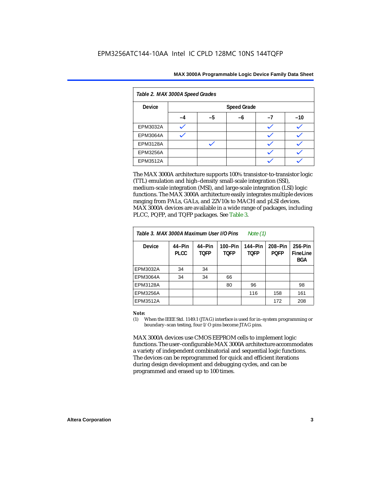|  | MAX 3000A Programmable Logic Device Family Data Sheet |  |  |  |  |
|--|-------------------------------------------------------|--|--|--|--|
|--|-------------------------------------------------------|--|--|--|--|

| Table 2. MAX 3000A Speed Grades |                    |    |    |    |       |  |
|---------------------------------|--------------------|----|----|----|-------|--|
| <b>Device</b>                   | <b>Speed Grade</b> |    |    |    |       |  |
|                                 | $-4$               | -5 | -6 | -7 | $-10$ |  |
| <b>EPM3032A</b>                 |                    |    |    |    |       |  |
| EPM3064A                        |                    |    |    |    |       |  |
| <b>EPM3128A</b>                 |                    |    |    |    |       |  |
| <b>EPM3256A</b>                 |                    |    |    |    |       |  |
| EPM3512A                        |                    |    |    |    |       |  |

The MAX 3000A architecture supports 100% transistor-to-transistor logic (TTL) emulation and high–density small-scale integration (SSI), medium-scale integration (MSI), and large-scale integration (LSI) logic functions. The MAX 3000A architecture easily integrates multiple devices ranging from PALs, GALs, and 22V10s to MACH and pLSI devices. MAX 3000A devices are available in a wide range of packages, including PLCC, PQFP, and TQFP packages. See Table 3.

| Table 3. MAX 3000A Maximum User I/O Pins |                       |                |                        | Note (1)               |                        |                                   |
|------------------------------------------|-----------------------|----------------|------------------------|------------------------|------------------------|-----------------------------------|
| <b>Device</b>                            | 44-Pin<br><b>PLCC</b> | 44-Pin<br>TOFP | 100-Pin<br><b>TOFP</b> | 144–Pin<br><b>TOFP</b> | 208-Pin<br><b>POFP</b> | 256-Pin<br>FineLine<br><b>BGA</b> |
| EPM3032A                                 | 34                    | 34             |                        |                        |                        |                                   |
| EPM3064A                                 | 34                    | 34             | 66                     |                        |                        |                                   |
| EPM3128A                                 |                       |                | 80                     | 96                     |                        | 98                                |
| EPM3256A                                 |                       |                |                        | 116                    | 158                    | 161                               |
| <b>EPM3512A</b>                          |                       |                |                        |                        | 172                    | 208                               |

#### *Note:*

(1) When the IEEE Std. 1149.1 (JTAG) interface is used for in–system programming or boundary–scan testing, four I/O pins become JTAG pins.

MAX 3000A devices use CMOS EEPROM cells to implement logic functions. The user–configurable MAX 3000A architecture accommodates a variety of independent combinatorial and sequential logic functions. The devices can be reprogrammed for quick and efficient iterations during design development and debugging cycles, and can be programmed and erased up to 100 times.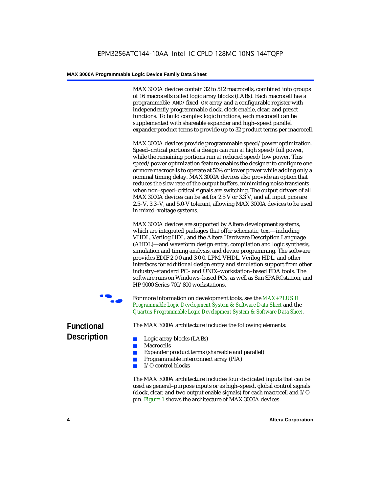MAX 3000A devices contain 32 to 512 macrocells, combined into groups of 16 macrocells called logic array blocks (LABs). Each macrocell has a programmable–AND/fixed–OR array and a configurable register with independently programmable clock, clock enable, clear, and preset functions. To build complex logic functions, each macrocell can be supplemented with shareable expander and high–speed parallel expander product terms to provide up to 32 product terms per macrocell.

MAX 3000A devices provide programmable speed/power optimization. Speed–critical portions of a design can run at high speed/full power, while the remaining portions run at reduced speed/low power. This speed/power optimization feature enables the designer to configure one or more macrocells to operate at 50% or lower power while adding only a nominal timing delay. MAX 3000A devices also provide an option that reduces the slew rate of the output buffers, minimizing noise transients when non–speed–critical signals are switching. The output drivers of all MAX 3000A devices can be set for 2.5 V or 3.3 V, and all input pins are 2.5–V, 3.3–V, and 5.0-V tolerant, allowing MAX 3000A devices to be used in mixed–voltage systems.

MAX 3000A devices are supported by Altera development systems, which are integrated packages that offer schematic, text—including VHDL, Verilog HDL, and the Altera Hardware Description Language (AHDL)—and waveform design entry, compilation and logic synthesis, simulation and timing analysis, and device programming. The software provides EDIF 2 0 0 and 3 0 0, LPM, VHDL, Verilog HDL, and other interfaces for additional design entry and simulation support from other industry–standard PC– and UNIX–workstation–based EDA tools. The software runs on Windows–based PCs, as well as Sun SPARCstation, and HP 9000 Series 700/800 workstations.



For more information on development tools, see the *MAX+PLUS II [Programmable Logic Development System & Software Data Sheet](http://www.altera.com/literature/ds/dsmii.pdf)* and the *[Quartus Programmable Logic Development System & Software Data Sheet](http://www.altera.com/literature/ds/quartus.pdf)*.

The MAX 3000A architecture includes the following elements:

- Logic array blocks (LABs)
- Macrocells
- Expander product terms (shareable and parallel)
- Programmable interconnect array (PIA)
- I/O control blocks

The MAX 3000A architecture includes four dedicated inputs that can be used as general–purpose inputs or as high–speed, global control signals (clock, clear, and two output enable signals) for each macrocell and I/O pin. Figure 1 shows the architecture of MAX 3000A devices.

### **Functional Description**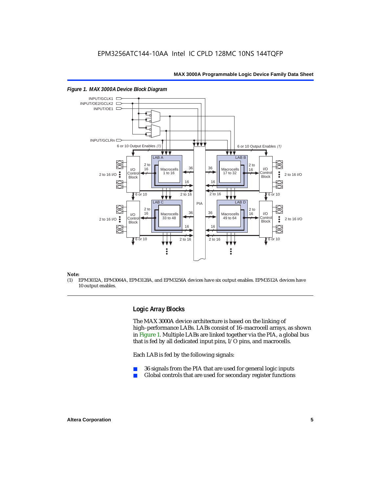

#### *Figure 1. MAX 3000A Device Block Diagram*

#### *Note:*

(1) EPM3032A, EPM3064A, EPM3128A, and EPM3256A devices have six output enables. EPM3512A devices have 10 output enables.

### **Logic Array Blocks**

The MAX 3000A device architecture is based on the linking of high–performance LABs. LABs consist of 16–macrocell arrays, as shown in Figure 1. Multiple LABs are linked together via the PIA, a global bus that is fed by all dedicated input pins, I/O pins, and macrocells.

Each LAB is fed by the following signals:

- 36 signals from the PIA that are used for general logic inputs
- Global controls that are used for secondary register functions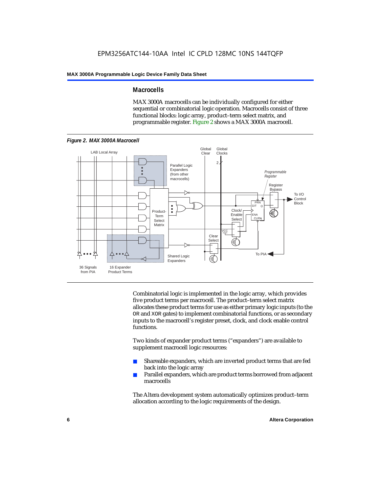### **Macrocells**

MAX 3000A macrocells can be individually configured for either sequential or combinatorial logic operation. Macrocells consist of three functional blocks: logic array, product–term select matrix, and programmable register. Figure 2 shows a MAX 3000A macrocell.



Combinatorial logic is implemented in the logic array, which provides five product terms per macrocell. The product–term select matrix allocates these product terms for use as either primary logic inputs (to the OR and XOR gates) to implement combinatorial functions, or as secondary inputs to the macrocell's register preset, clock, and clock enable control functions.

Two kinds of expander product terms ("expanders") are available to supplement macrocell logic resources:

- Shareable expanders, which are inverted product terms that are fed back into the logic array
- Parallel expanders, which are product terms borrowed from adjacent macrocells

The Altera development system automatically optimizes product–term allocation according to the logic requirements of the design.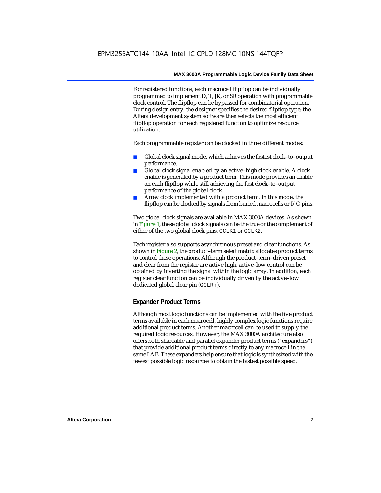For registered functions, each macrocell flipflop can be individually programmed to implement D, T, JK, or SR operation with programmable clock control. The flipflop can be bypassed for combinatorial operation. During design entry, the designer specifies the desired flipflop type; the Altera development system software then selects the most efficient flipflop operation for each registered function to optimize resource utilization.

Each programmable register can be clocked in three different modes:

- Global clock signal mode, which achieves the fastest clock–to–output performance.
- Global clock signal enabled by an active–high clock enable. A clock enable is generated by a product term. This mode provides an enable on each flipflop while still achieving the fast clock–to–output performance of the global clock.
- Array clock implemented with a product term. In this mode, the flipflop can be clocked by signals from buried macrocells or I/O pins.

Two global clock signals are available in MAX 3000A devices. As shown in Figure 1, these global clock signals can be the true or the complement of either of the two global clock pins, GCLK1 or GCLK2.

Each register also supports asynchronous preset and clear functions. As shown in Figure 2, the product–term select matrix allocates product terms to control these operations. Although the product–term–driven preset and clear from the register are active high, active–low control can be obtained by inverting the signal within the logic array. In addition, each register clear function can be individually driven by the active–low dedicated global clear pin (GCLRn).

### **Expander Product Terms**

Although most logic functions can be implemented with the five product terms available in each macrocell, highly complex logic functions require additional product terms. Another macrocell can be used to supply the required logic resources. However, the MAX 3000A architecture also offers both shareable and parallel expander product terms ("expanders") that provide additional product terms directly to any macrocell in the same LAB. These expanders help ensure that logic is synthesized with the fewest possible logic resources to obtain the fastest possible speed.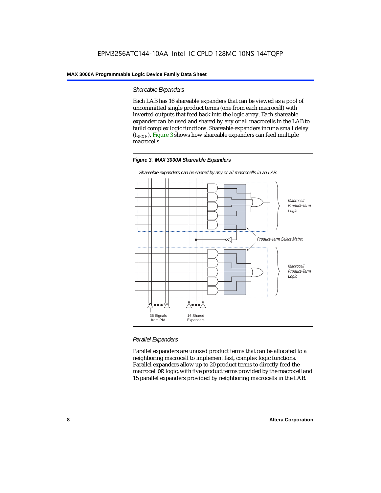### *Shareable Expanders*

Each LAB has 16 shareable expanders that can be viewed as a pool of uncommitted single product terms (one from each macrocell) with inverted outputs that feed back into the logic array. Each shareable expander can be used and shared by any or all macrocells in the LAB to build complex logic functions. Shareable expanders incur a small delay (*tSEXP*). Figure 3 shows how shareable expanders can feed multiple macrocells.





*Shareable expanders can be shared by any or all macrocells in an LAB.*

### *Parallel Expanders*

Parallel expanders are unused product terms that can be allocated to a neighboring macrocell to implement fast, complex logic functions. Parallel expanders allow up to 20 product terms to directly feed the macrocell OR logic, with five product terms provided by the macrocell and 15 parallel expanders provided by neighboring macrocells in the LAB.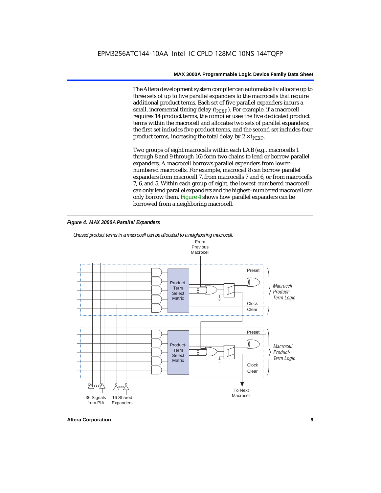The Altera development system compiler can automatically allocate up to three sets of up to five parallel expanders to the macrocells that require additional product terms. Each set of five parallel expanders incurs a small, incremental timing delay (*t<sub>PEXP</sub>*). For example, if a macrocell requires 14 product terms, the compiler uses the five dedicated product terms within the macrocell and allocates two sets of parallel expanders; the first set includes five product terms, and the second set includes four product terms, increasing the total delay by  $2 \times t_{PEXP}$ .

Two groups of eight macrocells within each LAB (e.g., macrocells 1 through 8 and 9 through 16) form two chains to lend or borrow parallel expanders. A macrocell borrows parallel expanders from lower– numbered macrocells. For example, macrocell 8 can borrow parallel expanders from macrocell 7, from macrocells 7 and 6, or from macrocells 7, 6, and 5. Within each group of eight, the lowest–numbered macrocell can only lend parallel expanders and the highest–numbered macrocell can only borrow them. Figure 4 shows how parallel expanders can be borrowed from a neighboring macrocell.

### *Figure 4. MAX 3000A Parallel Expanders*



*Unused product terms in a macrocell can be allocated to a neighboring macrocell.*

**Altera Corporation 9**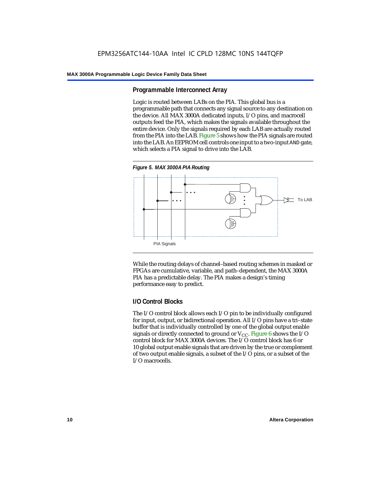### **Programmable Interconnect Array**

Logic is routed between LABs on the PIA. This global bus is a programmable path that connects any signal source to any destination on the device. All MAX 3000A dedicated inputs, I/O pins, and macrocell outputs feed the PIA, which makes the signals available throughout the entire device. Only the signals required by each LAB are actually routed from the PIA into the LAB. Figure 5 shows how the PIA signals are routed into the LAB. An EEPROM cell controls one input to a two-input AND gate, which selects a PIA signal to drive into the LAB.





While the routing delays of channel–based routing schemes in masked or FPGAs are cumulative, variable, and path–dependent, the MAX 3000A PIA has a predictable delay. The PIA makes a design's timing performance easy to predict.

### **I/O Control Blocks**

The I/O control block allows each I/O pin to be individually configured for input, output, or bidirectional operation. All I/O pins have a tri–state buffer that is individually controlled by one of the global output enable signals or directly connected to ground or  $V_{CC}$ . Figure 6 shows the I/O control block for MAX 3000A devices. The I/O control block has 6 or 10 global output enable signals that are driven by the true or complement of two output enable signals, a subset of the I/O pins, or a subset of the I/O macrocells.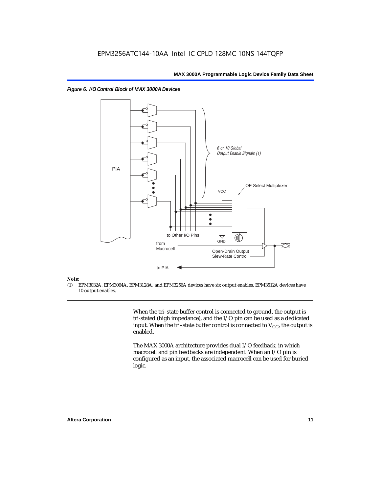



### *Note:*<br>(1) **H**

(1) EPM3032A, EPM3064A, EPM3128A, and EPM3256A devices have six output enables. EPM3512A devices have 10 output enables.

> When the tri–state buffer control is connected to ground, the output is tri-stated (high impedance), and the I/O pin can be used as a dedicated input. When the tri–state buffer control is connected to  $V_{CC}$ , the output is enabled.

The MAX 3000A architecture provides dual I/O feedback, in which macrocell and pin feedbacks are independent. When an I/O pin is configured as an input, the associated macrocell can be used for buried logic.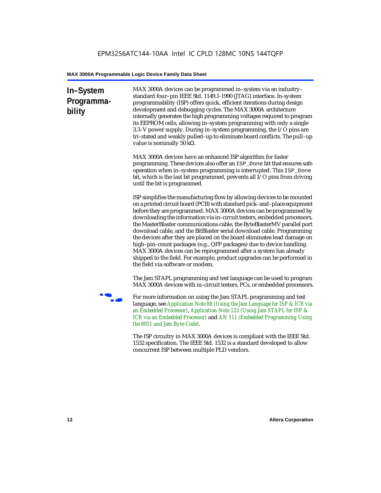### **In–System Programmability**

MAX 3000A devices can be programmed in–system via an industry– standard four–pin IEEE Std. 1149.1-1990 (JTAG) interface. In-system programmability (ISP) offers quick, efficient iterations during design development and debugging cycles. The MAX 3000A architecture internally generates the high programming voltages required to program its EEPROM cells, allowing in–system programming with only a single 3.3–V power supply. During in–system programming, the I/O pins are tri–stated and weakly pulled–up to eliminate board conflicts. The pull–up value is nominally 50 kΩ.

MAX 3000A devices have an enhanced ISP algorithm for faster programming. These devices also offer an ISP\_Done bit that ensures safe operation when in–system programming is interrupted. This ISP\_Done bit, which is the last bit programmed, prevents all I/O pins from driving until the bit is programmed.

ISP simplifies the manufacturing flow by allowing devices to be mounted on a printed circuit board (PCB) with standard pick–and–place equipment before they are programmed. MAX 3000A devices can be programmed by downloading the information via in–circuit testers, embedded processors, the MasterBlaster communications cable, the ByteBlasterMV parallel port download cable, and the BitBlaster serial download cable. Programming the devices after they are placed on the board eliminates lead damage on high–pin–count packages (e.g., QFP packages) due to device handling. MAX 3000A devices can be reprogrammed after a system has already shipped to the field. For example, product upgrades can be performed in the field via software or modem.

The Jam STAPL programming and test language can be used to program MAX 3000A devices with in–circuit testers, PCs, or embedded processors.

**For more information on using the Jam STAPL programming and test**<br>For more information on using the Jam STAPL programming and test language, see *[Application Note 88 \(Using the Jam Language for ISP & ICR via](http://www.altera.com/literature/an/an088.pdf)  [an Embedded Processor\)](http://www.altera.com/literature/an/an088.pdf)*, *[Application Note 122 \(Using Jam STAPL for ISP &](http://www.altera.com/literature/an/an122.pdf)  [ICR via an Embedded Processor\)](http://www.altera.com/literature/an/an122.pdf)* and *[AN 111 \(Embedded Programming Using](http://www.altera.com/literature/an/an111.pdf)  [the 8051 and Jam Byte-Code\)](http://www.altera.com/literature/an/an111.pdf)*.

> The ISP circuitry in MAX 3000A devices is compliant with the IEEE Std. 1532 specification. The IEEE Std. 1532 is a standard developed to allow concurrent ISP between multiple PLD vendors.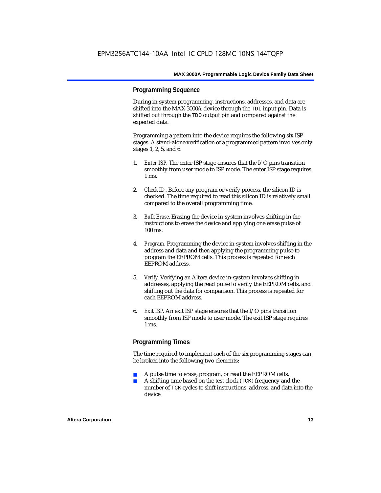### **Programming Sequence**

During in-system programming, instructions, addresses, and data are shifted into the MAX 3000A device through the TDI input pin. Data is shifted out through the TDO output pin and compared against the expected data.

Programming a pattern into the device requires the following six ISP stages. A stand-alone verification of a programmed pattern involves only stages 1, 2, 5, and 6.

- 1. *Enter ISP*. The enter ISP stage ensures that the I/O pins transition smoothly from user mode to ISP mode. The enter ISP stage requires 1 ms.
- 2. *Check ID*. Before any program or verify process, the silicon ID is checked. The time required to read this silicon ID is relatively small compared to the overall programming time.
- 3. *Bulk Erase*. Erasing the device in-system involves shifting in the instructions to erase the device and applying one erase pulse of 100 ms.
- 4. *Program*. Programming the device in-system involves shifting in the address and data and then applying the programming pulse to program the EEPROM cells. This process is repeated for each EEPROM address.
- 5. *Verify*. Verifying an Altera device in-system involves shifting in addresses, applying the read pulse to verify the EEPROM cells, and shifting out the data for comparison. This process is repeated for each EEPROM address.
- 6. *Exit ISP*. An exit ISP stage ensures that the I/O pins transition smoothly from ISP mode to user mode. The exit ISP stage requires 1 ms.

### **Programming Times**

The time required to implement each of the six programming stages can be broken into the following two elements:

- A pulse time to erase, program, or read the EEPROM cells.
- A shifting time based on the test clock (TCK) frequency and the number of TCK cycles to shift instructions, address, and data into the device.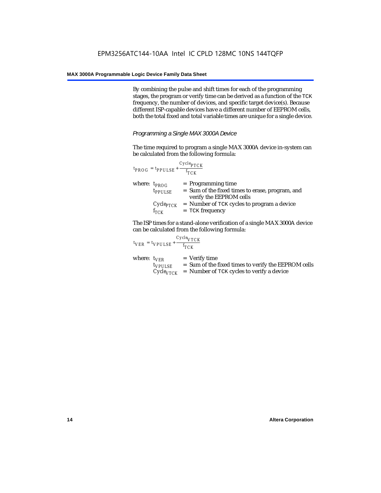By combining the pulse and shift times for each of the programming stages, the program or verify time can be derived as a function of the TCK frequency, the number of devices, and specific target device(s). Because different ISP-capable devices have a different number of EEPROM cells, both the total fixed and total variable times are unique for a single device.

*Programming a Single MAX 3000A Device*

The time required to program a single MAX 3000A device in-system can be calculated from the following formula:

|                   | ${}^{t}$ PROG <sup>=</sup> ${}^{t}$ PPULSE <sup>+</sup> $\frac{}{f_{TCK}}$ | $Cycle_{PTCK}$                                                                                     |
|-------------------|----------------------------------------------------------------------------|----------------------------------------------------------------------------------------------------|
| where: $t_{PROG}$ | <i>t<sub>PPULSE</sub></i>                                                  | $=$ Programming time<br>= Sum of the fixed times to erase, program, and<br>verify the EEPROM cells |
|                   | $Cycle_{PTCK}$<br>$f_{TCK}$                                                | $=$ Number of TCK cycles to program a device<br>$=$ TCK frequency                                  |

The ISP times for a stand-alone verification of a single MAX 3000A device can be calculated from the following formula:

|                  | $t_{VER} = t_{VPULSE} + \frac{t_{TCK}}{t_{TCK}}$ | $Cycle_{VTCK}$                                                                                                                     |
|------------------|--------------------------------------------------|------------------------------------------------------------------------------------------------------------------------------------|
| where: $t_{VER}$ | $t_{VPULSE}$                                     | $=$ Verify time<br>= Sum of the fixed times to verify the EEPROM cells<br>$Cycle_{VTCK}$ = Number of TCK cycles to verify a device |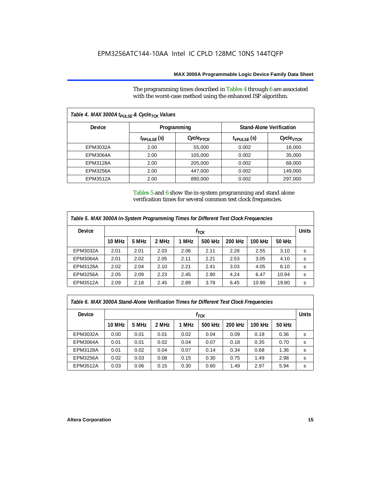The programming times described in Tables 4 through 6 are associated with the worst-case method using the enhanced ISP algorithm.

| Table 4. MAX 3000A t <sub>PULSE</sub> & Cycle <sub>TCK</sub> Values |                    |                       |                   |                                 |  |  |  |
|---------------------------------------------------------------------|--------------------|-----------------------|-------------------|---------------------------------|--|--|--|
| <b>Device</b>                                                       |                    | Programming           |                   | <b>Stand-Alone Verification</b> |  |  |  |
|                                                                     | $t_{PPIII SF}$ (S) | Cycle <sub>PTCK</sub> | $t_{VPIII,SE}(s)$ | СусIе <sub>VТСК</sub>           |  |  |  |
| EPM3032A                                                            | 2.00               | 55,000                | 0.002             | 18,000                          |  |  |  |
| EPM3064A                                                            | 2.00               | 105,000               | 0.002             | 35,000                          |  |  |  |
| EPM3128A                                                            | 2.00               | 205,000               | 0.002             | 68,000                          |  |  |  |
| <b>EPM3256A</b>                                                     | 2.00               | 447,000               | 0.002             | 149,000                         |  |  |  |
| EPM3512A                                                            | 2.00               | 890,000               | 0.002             | 297,000                         |  |  |  |

Tables 5 and 6 show the in-system programming and stand alone verification times for several common test clock frequencies.

| Table 5. MAX 3000A In-System Programming Times for Different Test Clock Frequencies |               |       |       |       |         |         |         |              |   |
|-------------------------------------------------------------------------------------|---------------|-------|-------|-------|---------|---------|---------|--------------|---|
| <b>Device</b>                                                                       | $f_{TCK}$     |       |       |       |         |         |         | <b>Units</b> |   |
|                                                                                     | <b>10 MHz</b> | 5 MHz | 2 MHz | 1 MHz | 500 kHz | 200 kHz | 100 kHz | 50 kHz       |   |
| EPM3032A                                                                            | 2.01          | 2.01  | 2.03  | 2.06  | 2.11    | 2.28    | 2.55    | 3.10         | s |
| <b>EPM3064A</b>                                                                     | 2.01          | 2.02  | 2.05  | 2.11  | 2.21    | 2.53    | 3.05    | 4.10         | s |
| EPM3128A                                                                            | 2.02          | 2.04  | 2.10  | 2.21  | 2.41    | 3.03    | 4.05    | 6.10         | s |
| <b>EPM3256A</b>                                                                     | 2.05          | 2.09  | 2.23  | 2.45  | 2.90    | 4.24    | 6.47    | 10.94        | s |
| <b>EPM3512A</b>                                                                     | 2.09          | 2.18  | 2.45  | 2.89  | 3.78    | 6.45    | 10.90   | 19.80        | s |

| Table 6. MAX 3000A Stand-Alone Verification Times for Different Test Clock Frequencies |           |       |       |       |         |         |         |              |   |
|----------------------------------------------------------------------------------------|-----------|-------|-------|-------|---------|---------|---------|--------------|---|
| <b>Device</b>                                                                          | $f_{TCK}$ |       |       |       |         |         |         | <b>Units</b> |   |
|                                                                                        | 10 MHz    | 5 MHz | 2 MHz | 1 MHz | 500 kHz | 200 kHz | 100 kHz | 50 kHz       |   |
| EPM3032A                                                                               | 0.00      | 0.01  | 0.01  | 0.02  | 0.04    | 0.09    | 0.18    | 0.36         | s |
| <b>EPM3064A</b>                                                                        | 0.01      | 0.01  | 0.02  | 0.04  | 0.07    | 0.18    | 0.35    | 0.70         | s |
| <b>EPM3128A</b>                                                                        | 0.01      | 0.02  | 0.04  | 0.07  | 0.14    | 0.34    | 0.68    | 1.36         | s |
| <b>EPM3256A</b>                                                                        | 0.02      | 0.03  | 0.08  | 0.15  | 0.30    | 0.75    | 1.49    | 2.98         | s |
| <b>EPM3512A</b>                                                                        | 0.03      | 0.06  | 0.15  | 0.30  | 0.60    | 1.49    | 2.97    | 5.94         | s |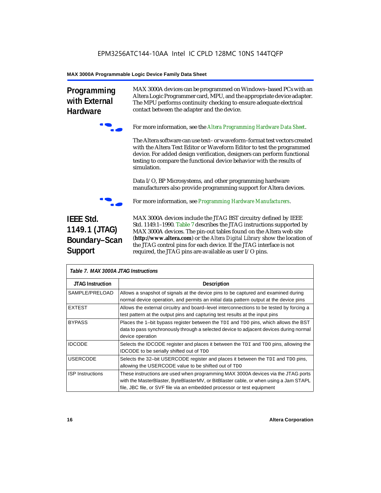contact between the adapter and the device.

### **MAX 3000A Programmable Logic Device Family Data Sheet**

**Programming with External Hardware**



f For more information, see the *[Altera Programming Hardware Data Sheet](http://www.altera.com/literature/ds/dspghd.pdf)*.

MAX 3000A devices can be programmed on Windows–based PCs with an Altera Logic Programmer card, MPU, and the appropriate device adapter. The MPU performs continuity checking to ensure adequate electrical

The Altera software can use text– or waveform–format test vectors created with the Altera Text Editor or Waveform Editor to test the programmed device. For added design verification, designers can perform functional testing to compare the functional device behavior with the results of simulation.

Data I/O, BP Microsystems, and other programming hardware manufacturers also provide programming support for Altera devices.



f For more information, see *Programming Hardware Manufacturers*.

### **IEEE Std. 1149.1 (JTAG) Boundary–Scan Support**

MAX 3000A devices include the JTAG BST circuitry defined by IEEE Std. 1149.1–1990. Table 7 describes the JTAG instructions supported by MAX 3000A devices. The pin-out tables found on the Altera web site (**http://www.altera.com**) or the *Altera Digital Library* show the location of the JTAG control pins for each device. If the JTAG interface is not required, the JTAG pins are available as user I/O pins.

| Table 7. MAX 3000A JTAG Instructions |                                                                                                                                                                                                                                                       |  |  |  |
|--------------------------------------|-------------------------------------------------------------------------------------------------------------------------------------------------------------------------------------------------------------------------------------------------------|--|--|--|
| <b>JTAG Instruction</b>              | <b>Description</b>                                                                                                                                                                                                                                    |  |  |  |
| SAMPLE/PRELOAD                       | Allows a snapshot of signals at the device pins to be captured and examined during<br>normal device operation, and permits an initial data pattern output at the device pins                                                                          |  |  |  |
| <b>EXTEST</b>                        | Allows the external circuitry and board–level interconnections to be tested by forcing a<br>test pattern at the output pins and capturing test results at the input pins                                                                              |  |  |  |
| <b>BYPASS</b>                        | Places the 1-bit bypass register between the TDI and TDO pins, which allows the BST<br>data to pass synchronously through a selected device to adjacent devices during normal<br>device operation                                                     |  |  |  |
| <b>IDCODE</b>                        | Selects the IDCODE register and places it between the TDI and TDO pins, allowing the<br><b>IDCODE</b> to be serially shifted out of TDO                                                                                                               |  |  |  |
| <b>USERCODE</b>                      | Selects the 32-bit USERCODE register and places it between the TDI and TDO pins,<br>allowing the USERCODE value to be shifted out of TDO                                                                                                              |  |  |  |
| <b>ISP Instructions</b>              | These instructions are used when programming MAX 3000A devices via the JTAG ports<br>with the MasterBlaster, ByteBlasterMV, or BitBlaster cable, or when using a Jam STAPL<br>file, JBC file, or SVF file via an embedded processor or test equipment |  |  |  |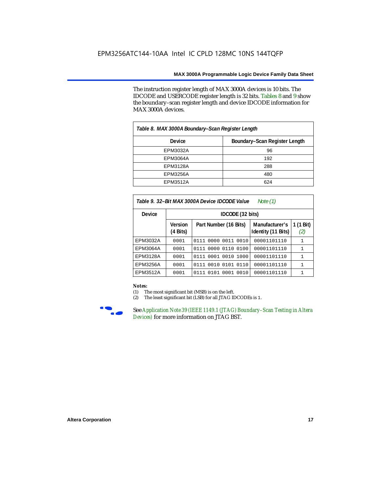The instruction register length of MAX 3000A devices is 10 bits. The IDCODE and USERCODE register length is 32 bits. Tables 8 and 9 show the boundary–scan register length and device IDCODE information for MAX 3000A devices.

| Table 8. MAX 3000A Boundary–Scan Register Length |                               |  |  |  |  |
|--------------------------------------------------|-------------------------------|--|--|--|--|
| Device                                           | Boundary-Scan Register Length |  |  |  |  |
| EPM3032A                                         | 96                            |  |  |  |  |
| EPM3064A                                         | 192                           |  |  |  |  |
| EPM3128A                                         | 288                           |  |  |  |  |
| <b>EPM3256A</b>                                  | 480                           |  |  |  |  |
| EPM3512A                                         | 624                           |  |  |  |  |

| Table 9. 32–Bit MAX 3000A Device IDCODE Value<br>Note $(1)$ |                            |                              |                                      |                  |  |  |  |  |  |  |
|-------------------------------------------------------------|----------------------------|------------------------------|--------------------------------------|------------------|--|--|--|--|--|--|
| <b>Device</b>                                               |                            | IDCODE (32 bits)             |                                      |                  |  |  |  |  |  |  |
|                                                             | <b>Version</b><br>(4 Bits) | Part Number (16 Bits)        | Manufacturer's<br>Identity (11 Bits) | 1 (1 Bit)<br>(2) |  |  |  |  |  |  |
| EPM3032A                                                    | 0001                       | 0111 0000 0011 0010          | 00001101110                          | $\mathbf{1}$     |  |  |  |  |  |  |
| EPM3064A                                                    | 0001                       | 0000 0110 0100<br>0111       | 00001101110                          | $\mathbf{1}$     |  |  |  |  |  |  |
| EPM3128A                                                    | 0001                       | 0010<br>0001<br>1000<br>0111 | 00001101110                          | 1                |  |  |  |  |  |  |
| EPM3256A                                                    | 0001                       | 0010 0101 0110<br>0111       | 00001101110                          | $\mathbf{1}$     |  |  |  |  |  |  |
| EPM3512A                                                    | 0001                       | 0101<br>0001 0010<br>0111    | 00001101110                          | $\mathbf{1}$     |  |  |  |  |  |  |

#### *Notes:*

(1) The most significant bit (MSB) is on the left.

(2) The least significant bit (LSB) for all JTAG IDCODEs is 1.



**FREE 1149.1 (JTAG) Boundary–Scan Testing in Altera and See Application Note 39 (IEEE 1149.1 (JTAG) Boundary–Scan Testing in Altera** *[Devices\)](http://www.altera.com/literature/an/an039.pdf)* for more information on JTAG BST.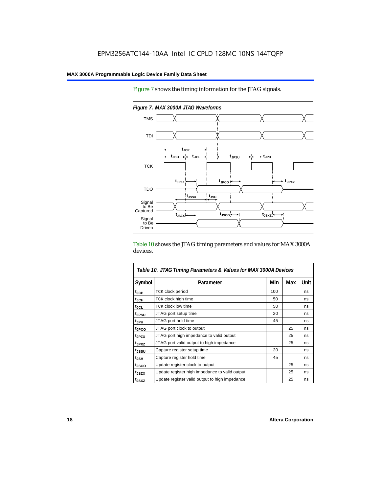Figure 7 shows the timing information for the JTAG signals.



*Figure 7. MAX 3000A JTAG Waveforms*

Table 10 shows the JTAG timing parameters and values for MAX 3000A devices.

| Table 10. JTAG Timing Parameters & Values for MAX 3000A Devices |                                                |     |     |      |  |  |  |
|-----------------------------------------------------------------|------------------------------------------------|-----|-----|------|--|--|--|
| Symbol                                                          | Parameter                                      | Min | Max | Unit |  |  |  |
| t <sub>JCP</sub>                                                | <b>TCK clock period</b>                        | 100 |     | ns   |  |  |  |
| tjch                                                            | TCK clock high time                            | 50  |     | ns   |  |  |  |
| tjcL                                                            | <b>TCK clock low time</b>                      | 50  |     | ns   |  |  |  |
| tjpsu                                                           | JTAG port setup time                           | 20  |     | ns   |  |  |  |
| t <sub>JPH</sub>                                                | JTAG port hold time                            | 45  |     | ns   |  |  |  |
| <sup>t</sup> JPCO                                               | JTAG port clock to output                      |     | 25  | ns   |  |  |  |
| <sup>t</sup> JPZX                                               | JTAG port high impedance to valid output       |     | 25  | ns   |  |  |  |
| t <sub>JPXZ</sub>                                               | JTAG port valid output to high impedance       |     | 25  | ns   |  |  |  |
| tjssu                                                           | Capture register setup time                    | 20  |     | ns   |  |  |  |
| $t_{\sf JSH}$                                                   | Capture register hold time                     | 45  |     | ns   |  |  |  |
| tjsco                                                           | Update register clock to output                |     | 25  | ns   |  |  |  |
| t <sub>JSZX</sub>                                               | Update register high impedance to valid output |     | 25  | ns   |  |  |  |
| t <sub>JSXZ</sub>                                               | Update register valid output to high impedance |     | 25  | ns   |  |  |  |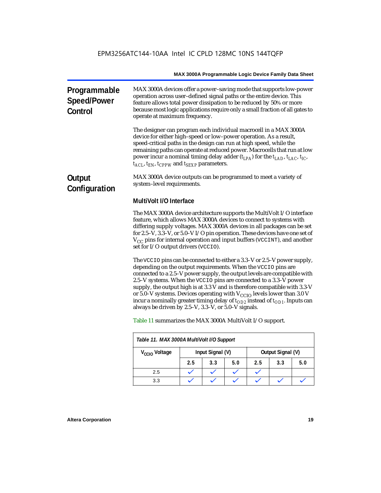| Programmable<br><b>Speed/Power</b><br>Control | MAX 3000A devices offer a power-saving mode that supports low-power<br>operation across user-defined signal paths or the entire device. This<br>feature allows total power dissipation to be reduced by 50% or more<br>because most logic applications require only a small fraction of all gates to<br>operate at maximum frequency.                                                                                                                                                                                                                                                                      |
|-----------------------------------------------|------------------------------------------------------------------------------------------------------------------------------------------------------------------------------------------------------------------------------------------------------------------------------------------------------------------------------------------------------------------------------------------------------------------------------------------------------------------------------------------------------------------------------------------------------------------------------------------------------------|
|                                               | The designer can program each individual macrocell in a MAX 3000A<br>device for either high-speed or low-power operation. As a result,<br>speed-critical paths in the design can run at high speed, while the<br>remaining paths can operate at reduced power. Macrocells that run at low<br>power incur a nominal timing delay adder $(t_{LPA})$ for the $t_{LAD}$ , $t_{LAC}$ , $t_{IC}$ ,<br>$t_{ACL}$ , $t_{EN}$ , $t_{CPPW}$ and $t_{SEXP}$ parameters.                                                                                                                                               |
| Output<br>Configuration                       | MAX 3000A device outputs can be programmed to meet a variety of<br>system-level requirements.                                                                                                                                                                                                                                                                                                                                                                                                                                                                                                              |
|                                               | MultiVolt I/O Interface                                                                                                                                                                                                                                                                                                                                                                                                                                                                                                                                                                                    |
|                                               | The MAX 3000A device architecture supports the MultiVolt I/O interface<br>feature, which allows MAX 3000A devices to connect to systems with<br>differing supply voltages. MAX 3000A devices in all packages can be set<br>for 2.5-V, 3.3-V, or 5.0-V I/O pin operation. These devices have one set of<br>$V_{CC}$ pins for internal operation and input buffers (VCCINT), and another<br>set for I/O output drivers (VCCIO).                                                                                                                                                                              |
|                                               | The VCCIO pins can be connected to either a 3.3-V or 2.5-V power supply,<br>depending on the output requirements. When the VCCIO pins are<br>connected to a 2.5-V power supply, the output levels are compatible with<br>2.5-V systems. When the VCCIO pins are connected to a 3.3-V power<br>supply, the output high is at 3.3 V and is therefore compatible with 3.3-V<br>or 5.0-V systems. Devices operating with $V_{\rm CCD}$ levels lower than 3.0 V<br>incur a nominally greater timing delay of $t_{OD2}$ instead of $t_{OD1}$ . Inputs can<br>always be driven by 2.5-V, 3.3-V, or 5.0-V signals. |
|                                               | Table 11 summarizes the MAX 3000A MultiVolt I/O support.                                                                                                                                                                                                                                                                                                                                                                                                                                                                                                                                                   |
|                                               | Table 11. MAX 3000A MultiVolt I/O Support                                                                                                                                                                                                                                                                                                                                                                                                                                                                                                                                                                  |

|                           | . |                  |     |     |     |                   |     |  |  |  |  |
|---------------------------|---|------------------|-----|-----|-----|-------------------|-----|--|--|--|--|
| V <sub>CCIO</sub> Voltage |   | Input Signal (V) |     |     |     | Output Signal (V) |     |  |  |  |  |
|                           |   | 2.5              | 3.3 | 5.0 | 2.5 | 3.3               | 5.0 |  |  |  |  |
| 2.5                       |   |                  |     |     |     |                   |     |  |  |  |  |
| 3.3                       |   |                  |     |     |     |                   |     |  |  |  |  |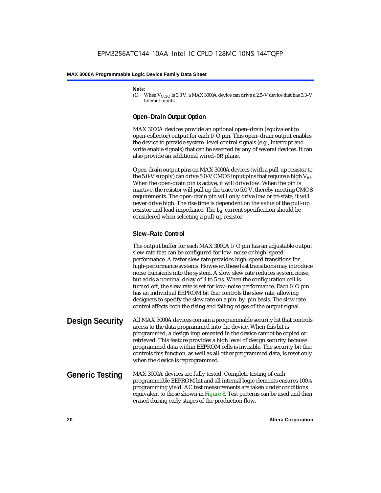#### *Note:*

(1) When  $V_{CCIO}$  is 3.3 V, a MAX 3000A device can drive a 2.5–V device that has 3.3–V tolerant inputs.

### **Open–Drain Output Option**

MAX 3000A devices provide an optional open–drain (equivalent to open-collector) output for each I/O pin. This open–drain output enables the device to provide system–level control signals (e.g., interrupt and write enable signals) that can be asserted by any of several devices. It can also provide an additional wired–OR plane.

Open-drain output pins on MAX 3000A devices (with a pull-up resistor to the 5.0-V supply) can drive 5.0-V CMOS input pins that require a high  $V_{\text{H}+}$ . When the open-drain pin is active, it will drive low. When the pin is inactive, the resistor will pull up the trace to 5.0 V, thereby meeting CMOS requirements. The open-drain pin will only drive low or tri-state; it will never drive high. The rise time is dependent on the value of the pull-up resistor and load impedance. The  $I_{\text{OL}}$  current specification should be considered when selecting a pull-up resistor

### **Slew–Rate Control**

The output buffer for each MAX 3000A I/O pin has an adjustable output slew rate that can be configured for low–noise or high–speed performance. A faster slew rate provides high–speed transitions for high-performance systems. However, these fast transitions may introduce noise transients into the system. A slow slew rate reduces system noise, but adds a nominal delay of 4 to 5 ns. When the configuration cell is turned off, the slew rate is set for low–noise performance. Each I/O pin has an individual EEPROM bit that controls the slew rate, allowing designers to specify the slew rate on a pin–by–pin basis. The slew rate control affects both the rising and falling edges of the output signal.

### **Design Security** All MAX 3000A devices contain a programmable security bit that controls access to the data programmed into the device. When this bit is programmed, a design implemented in the device cannot be copied or retrieved. This feature provides a high level of design security because programmed data within EEPROM cells is invisible. The security bit that controls this function, as well as all other programmed data, is reset only when the device is reprogrammed.

### **Generic Testing** MAX 3000A devices are fully tested. Complete testing of each programmable EEPROM bit and all internal logic elements ensures 100% programming yield. AC test measurements are taken under conditions equivalent to those shown in Figure 8. Test patterns can be used and then erased during early stages of the production flow.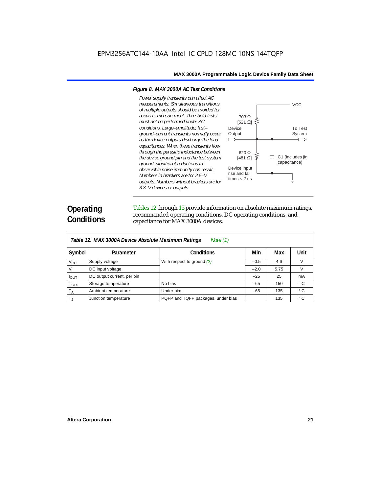#### *Figure 8. MAX 3000A AC Test Conditions*

*Power supply transients can affect AC measurements. Simultaneous transitions of multiple outputs should be avoided for accurate measurement. Threshold tests must not be performed under AC conditions. Large–amplitude, fast–* Device **Output** *ground–current transients normally occur as the device outputs discharge the load*   $\Box$ *capacitances. When these transients flow through the parasitic inductance between the device ground pin and the test system ground, significant reductions in observable noise immunity can result. Numbers in brackets are for 2.5–V outputs. Numbers without brackets are for 3.3–V devices or outputs.*



### **Operating Conditions**

Tables 12 through 15 provide information on absolute maximum ratings, recommended operating conditions, DC operating conditions, and capacitance for MAX 3000A devices.

|                             | Table 12. MAX 3000A Device Absolute Maximum Ratings<br>Note $(1)$ |                                    |        |      |     |  |  |  |  |  |  |
|-----------------------------|-------------------------------------------------------------------|------------------------------------|--------|------|-----|--|--|--|--|--|--|
| Symbol                      | Parameter                                                         | Min                                | Max    | Unit |     |  |  |  |  |  |  |
| $V_{\rm CC}$                | Supply voltage                                                    | With respect to ground (2)         | $-0.5$ | 4.6  | V   |  |  |  |  |  |  |
| $V_{1}$                     | DC input voltage                                                  |                                    | $-2.0$ | 5.75 | V   |  |  |  |  |  |  |
| $I_{OUT}$                   | DC output current, per pin                                        |                                    | $-25$  | 25   | mA  |  |  |  |  |  |  |
| $\mathsf{T}_{\textsf{STG}}$ | Storage temperature                                               | No bias                            | $-65$  | 150  | ۰с  |  |  |  |  |  |  |
| $T_A$                       | Ambient temperature                                               | Under bias                         | $-65$  | 135  | ° C |  |  |  |  |  |  |
| $T_{\rm J}$                 | Junction temperature                                              | PQFP and TQFP packages, under bias |        | 135  | ۰c  |  |  |  |  |  |  |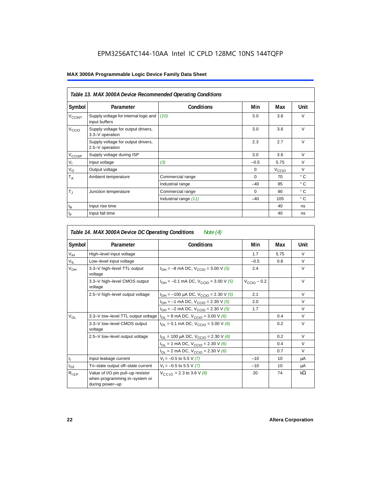|                    | Table 13. MAX 3000A Device Recommended Operating Conditions |                       |          |                   |              |
|--------------------|-------------------------------------------------------------|-----------------------|----------|-------------------|--------------|
| Symbol             | Parameter                                                   | <b>Conditions</b>     | Min      | Max               | Unit         |
| $V_{\text{CCINT}}$ | Supply voltage for internal logic and<br>input buffers      | (10)                  | 3.0      | 3.6               | V            |
| V <sub>ccio</sub>  | Supply voltage for output drivers,<br>3.3-V operation       |                       | 3.0      | 3.6               | $\vee$       |
|                    | Supply voltage for output drivers,<br>2.5-V operation       |                       | 2.3      | 2.7               | $\vee$       |
| $V_{\text{CCISP}}$ | Supply voltage during ISP                                   |                       | 3.0      | 3.6               | $\vee$       |
| $V_{\parallel}$    | Input voltage                                               | (3)                   | $-0.5$   | 5.75              | $\vee$       |
| $V_{\rm O}$        | Output voltage                                              |                       | $\Omega$ | $V_{\text{CCIQ}}$ | $\vee$       |
| $T_A$              | Ambient temperature                                         | Commercial range      | $\Omega$ | 70                | ° C          |
|                    |                                                             | Industrial range      | $-40$    | 85                | ° C          |
| $T_{\rm J}$        | Junction temperature                                        | Commercial range      | $\Omega$ | 90                | $^{\circ}$ C |
|                    |                                                             | Industrial range (11) | $-40$    | 105               | $^{\circ}$ C |
| $t_{R}$            | Input rise time                                             |                       |          | 40                | ns           |
| $t_{\text{F}}$     | Input fall time                                             |                       |          | 40                | ns           |

|                           | Table 14. MAX 3000A Device DC Operating Conditions                                    | Note $(4)$                                         |                  |      |            |
|---------------------------|---------------------------------------------------------------------------------------|----------------------------------------------------|------------------|------|------------|
| Symbol                    | Parameter                                                                             | <b>Conditions</b>                                  | Min              | Max  | Unit       |
| $V_{\text{IH}}$           | High-level input voltage                                                              |                                                    | 1.7              | 5.75 | $\vee$     |
| $V_{IL}$                  | Low-level input voltage                                                               |                                                    | $-0.5$           | 0.8  | V          |
| $V_{OH}$                  | 3.3-V high-level TTL output<br>voltage                                                | $I_{OH} = -8$ mA DC, $V_{CCIO} = 3.00$ V (5)       | 2.4              |      | $\vee$     |
|                           | 3.3-V high-level CMOS output<br>voltage                                               | $I_{OH} = -0.1$ mA DC, $V_{CClO} = 3.00$ V (5)     | $V_{CClO}$ – 0.2 |      | $\vee$     |
|                           | 2.5-V high-level output voltage                                                       | $I_{OH} = -100 \mu A DC$ , $V_{CCIO} = 2.30 V (5)$ | 2.1              |      | $\vee$     |
|                           |                                                                                       | $I_{OH} = -1$ mA DC, $V_{CClO} = 2.30$ V (5)       | 2.0              |      | $\vee$     |
|                           |                                                                                       | $I_{OH} = -2$ mA DC, $V_{CCIO} = 2.30$ V (5)       | 1.7              |      | V          |
| $V_{OL}$                  | 3.3–V low–level TTL output voltage $I_{OL}$ = 8 mA DC, $V_{CCIO}$ = 3.00 V (6)        |                                                    |                  | 0.4  | $\vee$     |
|                           | 3.3-V low-level CMOS output<br>voltage                                                | $I_{OL}$ = 0.1 mA DC, $V_{CClO}$ = 3.00 V (6)      |                  | 0.2  | $\vee$     |
|                           | 2.5-V low-level output voltage                                                        | $I_{OL}$ = 100 µA DC, $V_{CCIO}$ = 2.30 V (6)      |                  | 0.2  | $\vee$     |
|                           |                                                                                       | $I_{OL}$ = 1 mA DC, $V_{CCIO}$ = 2.30 V (6)        |                  | 0.4  | $\vee$     |
|                           |                                                                                       | $I_{OL}$ = 2 mA DC, $V_{CCIO}$ = 2.30 V (6)        |                  | 0.7  | $\vee$     |
| $\mathbf{I}_{\mathbf{I}}$ | Input leakage current                                                                 | $V_1 = -0.5$ to 5.5 V (7)                          | $-10$            | 10   | μA         |
| $I_{OZ}$                  | Tri-state output off-state current                                                    | $V_1 = -0.5$ to 5.5 V (7)                          | $-10$            | 10   | μA         |
| $R_{ISP}$                 | Value of I/O pin pull-up resistor<br>when programming in-system or<br>during power-up | $V_{CCD}$ = 2.3 to 3.6 V (8)                       | 20               | 74   | k $\Omega$ |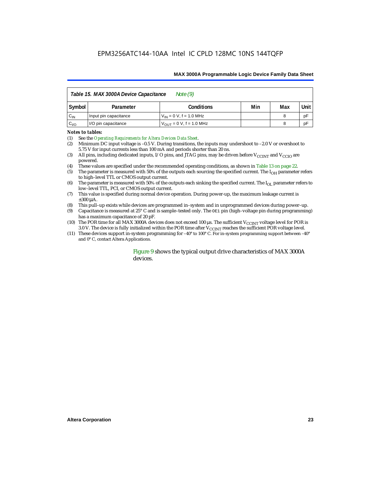|          | Table 15. MAX 3000A Device Capacitance<br>Note $(9)$ |                                              |  |   |    |  |  |  |  |
|----------|------------------------------------------------------|----------------------------------------------|--|---|----|--|--|--|--|
| Symbol   | Parameter                                            | Min<br>Conditions<br>Max                     |  |   |    |  |  |  |  |
| $C_{IN}$ | Input pin capacitance                                | $V_{IN} = 0 V$ , f = 1.0 MHz                 |  | 8 | рF |  |  |  |  |
| $C_{VO}$ | I/O pin capacitance                                  | $V_{\text{OUT}} = 0 \text{ V}$ , f = 1.0 MHz |  | 8 | рF |  |  |  |  |

#### *Notes to tables:*

(1) See the *[Operating Requirements for Altera Devices Data Sheet](http://www.altera.com/literature/ds/dsoprq.pdf)*.

(2) Minimum DC input voltage is –0.5 V. During transitions, the inputs may undershoot to –2.0 V or overshoot to 5.75 V for input currents less than 100 mA and periods shorter than 20 ns.

(3) All pins, including dedicated inputs, I/O pins, and JTAG pins, may be driven before  $V_{\rm CCINT}$  and  $V_{\rm CCD}$  are powered.

- (4) These values are specified under the recommended operating conditions, as shown in Table 13 on page 22.
- (5) The parameter is measured with 50% of the outputs each sourcing the specified current. The  $I<sub>OH</sub>$  parameter refers to high–level TTL or CMOS output current.
- (6) The parameter is measured with 50% of the outputs each sinking the specified current. The  $I_{OL}$  parameter refers to low–level TTL, PCI, or CMOS output current.
- (7) This value is specified during normal device operation. During power-up, the maximum leakage current is  $\pm 300$   $\mu$ A.
- (8) This pull–up exists while devices are programmed in–system and in unprogrammed devices during power–up.
- (9) Capacitance is measured at  $25^{\circ}$  C and is sample–tested only. The  $OE1$  pin (high–voltage pin during programming) has a maximum capacitance of 20 pF.
- (10) The POR time for all MAX 3000A devices does not exceed 100  $\mu$ s. The sufficient V<sub>CCINT</sub> voltage level for POR is 3.0 V. The device is fully initialized within the POR time after  $V_{\text{CCINT}}$  reaches the sufficient POR voltage level.
- (11) These devices support in-system programming for –40° to 100° C. For in-system programming support between –40° and 0° C, contact Altera Applications.

### Figure 9 shows the typical output drive characteristics of MAX 3000A devices.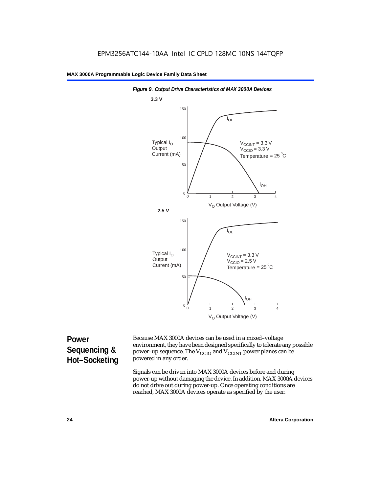



### **Power Sequencing & Hot–Socketing**

Because MAX 3000A devices can be used in a mixed–voltage environment, they have been designed specifically to tolerate any possible power–up sequence. The  $V_{CCIO}$  and  $V_{CCINT}$  power planes can be powered in any order.

Signals can be driven into MAX 3000A devices before and during power-up without damaging the device. In addition, MAX 3000A devices do not drive out during power-up. Once operating conditions are reached, MAX 3000A devices operate as specified by the user.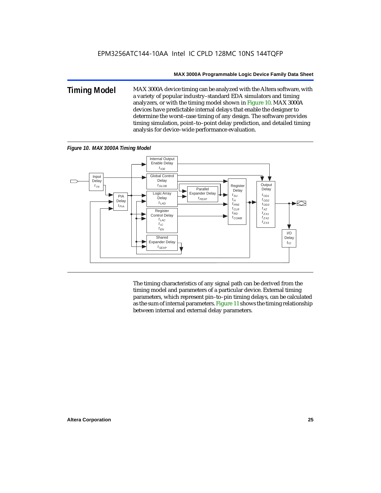**Timing Model** MAX 3000A device timing can be analyzed with the Altera software, with a variety of popular industry–standard EDA simulators and timing analyzers, or with the timing model shown in Figure 10. MAX 3000A devices have predictable internal delays that enable the designer to determine the worst–case timing of any design. The software provides timing simulation, point–to–point delay prediction, and detailed timing analysis for device–wide performance evaluation.



*Figure 10. MAX 3000A Timing Model*

The timing characteristics of any signal path can be derived from the timing model and parameters of a particular device. External timing parameters, which represent pin–to–pin timing delays, can be calculated as the sum of internal parameters. Figure 11 shows the timing relationship between internal and external delay parameters.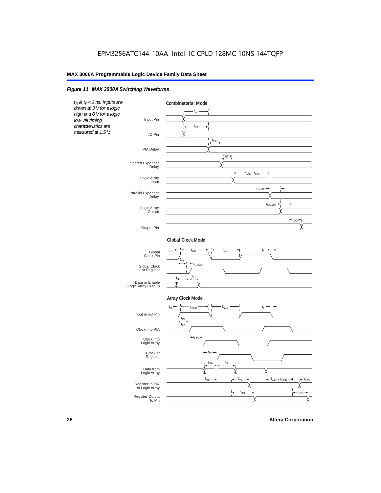### *Figure 11. MAX 3000A Switching Waveforms*

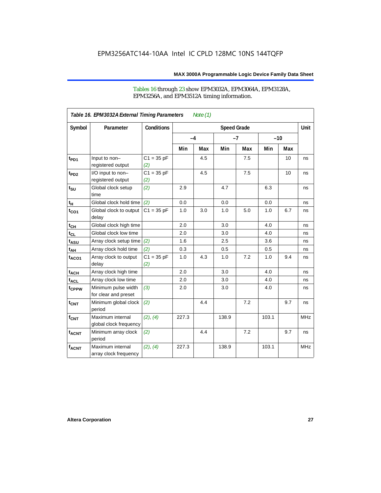### Tables 16 through 23 show EPM3032A, EPM3064A, EPM3128A, EPM3256A, and EPM3512A timing information.

|                  | Table 16. EPM3032A External Timing Parameters |                     |       | Note $(1)$         |       |      |       |       |            |
|------------------|-----------------------------------------------|---------------------|-------|--------------------|-------|------|-------|-------|------------|
| Symbol           | Parameter                                     | <b>Conditions</b>   |       | <b>Speed Grade</b> |       |      |       |       | Unit       |
|                  |                                               |                     | $-4$  |                    |       | $-7$ |       | $-10$ |            |
|                  |                                               |                     | Min   | Max                | Min   | Max  | Min   | Max   |            |
| t <sub>PD1</sub> | Input to non-<br>registered output            | $C1 = 35 pF$<br>(2) |       | 4.5                |       | 7.5  |       | 10    | ns         |
| $t_{PD2}$        | I/O input to non-<br>registered output        | $C1 = 35 pF$<br>(2) |       | 4.5                |       | 7.5  |       | 10    | ns         |
| $t_{\text{SU}}$  | Global clock setup<br>time                    | (2)                 | 2.9   |                    | 4.7   |      | 6.3   |       | ns         |
| $t_H$            | Global clock hold time                        | (2)                 | 0.0   |                    | 0.0   |      | 0.0   |       | ns         |
| $t_{CO1}$        | Global clock to output<br>delay               | $C1 = 35 pF$        | 1.0   | 3.0                | 1.0   | 5.0  | 1.0   | 6.7   | ns         |
| $t_{CH}$         | Global clock high time                        |                     | 2.0   |                    | 3.0   |      | 4.0   |       | ns         |
| $t_{CL}$         | Global clock low time                         |                     | 2.0   |                    | 3.0   |      | 4.0   |       | ns         |
| $t_{ASU}$        | Array clock setup time                        | (2)                 | 1.6   |                    | 2.5   |      | 3.6   |       | ns         |
| $t_{AH}$         | Array clock hold time                         | (2)                 | 0.3   |                    | 0.5   |      | 0.5   |       | ns         |
| $t_{ACO1}$       | Array clock to output<br>delay                | $C1 = 35 pF$<br>(2) | 1.0   | 4.3                | 1.0   | 7.2  | 1.0   | 9.4   | ns         |
| $t_{ACH}$        | Array clock high time                         |                     | 2.0   |                    | 3.0   |      | 4.0   |       | ns         |
| $t_{\sf ACL}$    | Array clock low time                          |                     | 2.0   |                    | 3.0   |      | 4.0   |       | ns         |
| tcppw            | Minimum pulse width<br>for clear and preset   | (3)                 | 2.0   |                    | 3.0   |      | 4.0   |       | ns         |
| $t_{\text{CNT}}$ | Minimum global clock<br>period                | (2)                 |       | 4.4                |       | 7.2  |       | 9.7   | ns         |
| $f_{CNT}$        | Maximum internal<br>global clock frequency    | (2), (4)            | 227.3 |                    | 138.9 |      | 103.1 |       | <b>MHz</b> |
| $t_{ACNT}$       | Minimum array clock<br>period                 | (2)                 |       | 4.4                |       | 7.2  |       | 9.7   | ns         |
| <b>fACNT</b>     | Maximum internal<br>array clock frequency     | (2), (4)            | 227.3 |                    | 138.9 |      | 103.1 |       | <b>MHz</b> |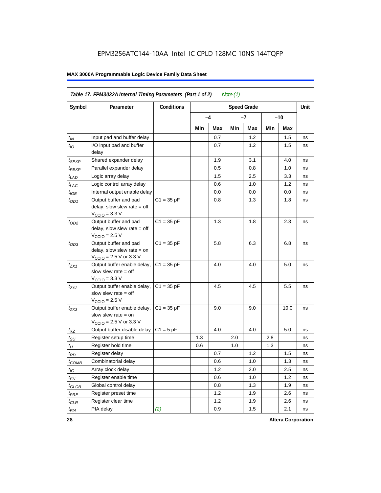|                   | Table 17. EPM3032A Internal Timing Parameters (Part 1 of 2)<br>Note $(1)$                                    |              |     |     |     |                    |     |       |      |  |
|-------------------|--------------------------------------------------------------------------------------------------------------|--------------|-----|-----|-----|--------------------|-----|-------|------|--|
| Symbol            | Parameter                                                                                                    | Conditions   |     |     |     | <b>Speed Grade</b> |     |       | Unit |  |
|                   |                                                                                                              |              | -4  |     |     | -7                 |     | $-10$ |      |  |
|                   |                                                                                                              |              | Min | Max | Min | Max                | Min | Max   |      |  |
| $t_{IN}$          | Input pad and buffer delay                                                                                   |              |     | 0.7 |     | 1.2                |     | 1.5   | ns   |  |
| $t_{IO}$          | I/O input pad and buffer<br>delay                                                                            |              |     | 0.7 |     | 1.2                |     | 1.5   | ns   |  |
| $t_{SEXP}$        | Shared expander delay                                                                                        |              |     | 1.9 |     | 3.1                |     | 4.0   | ns   |  |
| $t_{PEXP}$        | Parallel expander delay                                                                                      |              |     | 0.5 |     | 0.8                |     | 1.0   | ns   |  |
| $t_{LAD}$         | Logic array delay                                                                                            |              |     | 1.5 |     | 2.5                |     | 3.3   | ns   |  |
| $t_{LAC}$         | Logic control array delay                                                                                    |              |     | 0.6 |     | 1.0                |     | 1.2   | ns   |  |
| $t_{IOE}$         | Internal output enable delay                                                                                 |              |     | 0.0 |     | 0.0                |     | 0.0   | ns   |  |
| $t_{OD1}$         | Output buffer and pad<br>delay, slow slew rate $=$ off<br>$V_{\text{CCIO}} = 3.3 \text{ V}$                  | $C1 = 35 pF$ |     | 0.8 |     | 1.3                |     | 1.8   | ns   |  |
| $t_{OD2}$         | Output buffer and pad<br>delay, slow slew rate $=$ off<br>$V_{\text{CCIO}} = 2.5 V$                          | $C1 = 35 pF$ |     | 1.3 |     | 1.8                |     | 2.3   | ns   |  |
| $t_{OD3}$         | Output buffer and pad<br>delay, slow slew rate $=$ on<br>$V_{\text{CCIO}} = 2.5 \text{ V or } 3.3 \text{ V}$ | $C1 = 35 pF$ |     | 5.8 |     | 6.3                |     | 6.8   | ns   |  |
| $t_{ZX1}$         | Output buffer enable delay,<br>slow slew rate $=$ off<br>$V_{\text{CCIO}} = 3.3 \text{ V}$                   | $C1 = 35 pF$ |     | 4.0 |     | 4.0                |     | 5.0   | ns   |  |
| $t_{ZX2}$         | Output buffer enable delay,<br>slow slew rate $=$ off<br>$V_{\text{CCIO}} = 2.5 V$                           | $C1 = 35 pF$ |     | 4.5 |     | 4.5                |     | 5.5   | ns   |  |
| $t_{ZX3}$         | Output buffer enable delay,<br>slow slew rate = on<br>$V_{\text{CCIO}} = 2.5 \text{ V or } 3.3 \text{ V}$    | $C1 = 35 pF$ |     | 9.0 |     | 9.0                |     | 10.0  | ns   |  |
| $t_{XZ}$          | Output buffer disable delay                                                                                  | $C1 = 5$ pF  |     | 4.0 |     | 4.0                |     | 5.0   | ns   |  |
| $t_{\text{SU}}$   | Register setup time                                                                                          |              | 1.3 |     | 2.0 |                    | 2.8 |       | ns   |  |
| $t_H$             | Register hold time                                                                                           |              | 0.6 |     | 1.0 |                    | 1.3 |       | ns   |  |
| $t_{RD}$          | Register delay                                                                                               |              |     | 0.7 |     | 1.2                |     | 1.5   | ns   |  |
| $t_{\text{COMB}}$ | Combinatorial delay                                                                                          |              |     | 0.6 |     | 1.0                |     | 1.3   | ns   |  |
| $t_{IC}$          | Array clock delay                                                                                            |              |     | 1.2 |     | 2.0                |     | 2.5   | ns   |  |
| $t_{EN}$          | Register enable time                                                                                         |              |     | 0.6 |     | 1.0                |     | 1.2   | ns   |  |
| $t_{GLOB}$        | Global control delay                                                                                         |              |     | 0.8 |     | 1.3                |     | 1.9   | ns   |  |
| $t_{PRE}$         | Register preset time                                                                                         |              |     | 1.2 |     | 1.9                |     | 2.6   | ns   |  |
| $t_{\sf CLR}$     | Register clear time                                                                                          |              |     | 1.2 |     | 1.9                |     | 2.6   | ns   |  |
| $t_{PIA}$         | PIA delay                                                                                                    | (2)          |     | 0.9 |     | 1.5                |     | 2.1   | ns   |  |

**28 Altera Corporation**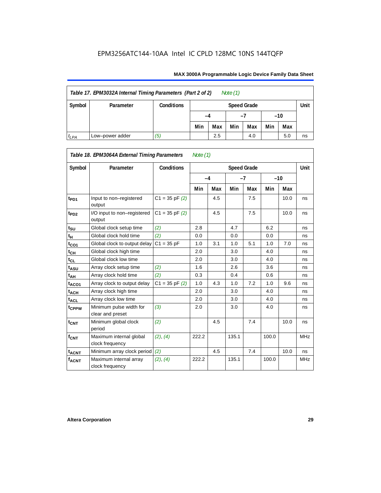| Table 17. EPM3032A Internal Timing Parameters (Part 2 of 2)<br>Note $(1)$ |                 |                   |     |                    |     |     |     |     |       |  |  |
|---------------------------------------------------------------------------|-----------------|-------------------|-----|--------------------|-----|-----|-----|-----|-------|--|--|
| Symbol                                                                    | Parameter       | <b>Conditions</b> |     | <b>Speed Grade</b> |     |     |     |     |       |  |  |
|                                                                           |                 |                   | -4  |                    |     |     |     |     | $-10$ |  |  |
|                                                                           |                 |                   | Min | Max                | Min | Max | Min | Max |       |  |  |
| $t_{LPA}$                                                                 | Low-power adder | (5)               |     | 2.5                |     | 4.0 |     | 5.0 | ns    |  |  |

|                   | Table 18. EPM3064A External Timing Parameters<br>Note $(1)$ |                    |       |     |       |                    |       |      |            |  |
|-------------------|-------------------------------------------------------------|--------------------|-------|-----|-------|--------------------|-------|------|------------|--|
| Symbol            | Parameter                                                   | <b>Conditions</b>  |       |     |       | <b>Speed Grade</b> |       |      | Unit       |  |
|                   |                                                             |                    | $-4$  |     | $-7$  |                    | $-10$ |      |            |  |
|                   |                                                             |                    | Min   | Max | Min   | Max                | Min   | Max  |            |  |
| t <sub>PD1</sub>  | Input to non-registered<br>output                           | $C1 = 35$ pF $(2)$ |       | 4.5 |       | 7.5                |       | 10.0 | ns         |  |
| $t_{PD2}$         | I/O input to non-registered<br>output                       | $C1 = 35$ pF $(2)$ |       | 4.5 |       | 7.5                |       | 10.0 | ns         |  |
| $t_{\text{SU}}$   | Global clock setup time                                     | (2)                | 2.8   |     | 4.7   |                    | 6.2   |      | ns         |  |
| $t_H$             | Global clock hold time                                      | (2)                | 0.0   |     | 0.0   |                    | 0.0   |      | ns         |  |
| $t_{CO1}$         | Global clock to output delay                                | $C1 = 35 pF$       | 1.0   | 3.1 | 1.0   | 5.1                | 1.0   | 7.0  | ns         |  |
| $t_{CH}$          | Global clock high time                                      |                    | 2.0   |     | 3.0   |                    | 4.0   |      | ns         |  |
| $t_{CL}$          | Global clock low time                                       |                    | 2.0   |     | 3.0   |                    | 4.0   |      | ns         |  |
| t <sub>ASU</sub>  | Array clock setup time                                      | (2)                | 1.6   |     | 2.6   |                    | 3.6   |      | ns         |  |
| t <sub>АН</sub>   | Array clock hold time                                       | (2)                | 0.3   |     | 0.4   |                    | 0.6   |      | ns         |  |
| t <sub>ACO1</sub> | Array clock to output delay                                 | $C1 = 35$ pF $(2)$ | 1.0   | 4.3 | 1.0   | 7.2                | 1.0   | 9.6  | ns         |  |
| $t_{ACH}$         | Array clock high time                                       |                    | 2.0   |     | 3.0   |                    | 4.0   |      | ns         |  |
| t <sub>ACL</sub>  | Array clock low time                                        |                    | 2.0   |     | 3.0   |                    | 4.0   |      | ns         |  |
| t <sub>CPPW</sub> | Minimum pulse width for<br>clear and preset                 | (3)                | 2.0   |     | 3.0   |                    | 4.0   |      | ns         |  |
| $t_{CNT}$         | Minimum global clock<br>period                              | (2)                |       | 4.5 |       | 7.4                |       | 10.0 | ns         |  |
| $f_{CNT}$         | Maximum internal global<br>clock frequency                  | (2), (4)           | 222.2 |     | 135.1 |                    | 100.0 |      | <b>MHz</b> |  |
| $t_{ACNT}$        | Minimum array clock period                                  | (2)                |       | 4.5 |       | 7.4                |       | 10.0 | ns         |  |
| <b>fACNT</b>      | Maximum internal array<br>clock frequency                   | (2), (4)           | 222.2 |     | 135.1 |                    | 100.0 |      | <b>MHz</b> |  |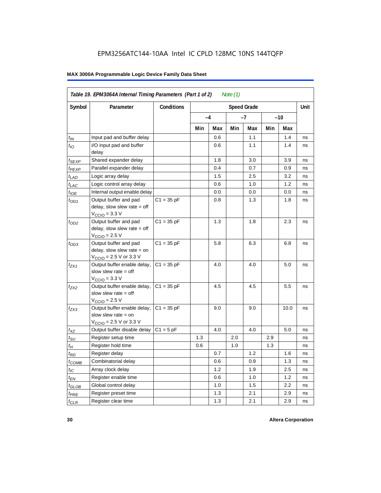| Table 19. EPM3064A Internal Timing Parameters (Part 1 of 2)<br>Note $(1)$ |                                                                                                              |                   |     |      |     |                    |     |       |      |  |
|---------------------------------------------------------------------------|--------------------------------------------------------------------------------------------------------------|-------------------|-----|------|-----|--------------------|-----|-------|------|--|
| Symbol                                                                    | Parameter                                                                                                    | <b>Conditions</b> |     |      |     | <b>Speed Grade</b> |     |       | Unit |  |
|                                                                           |                                                                                                              |                   |     | $-4$ |     | -7                 |     | $-10$ |      |  |
|                                                                           |                                                                                                              |                   | Min | Max  | Min | Max                | Min | Max   |      |  |
| $t_{IN}$                                                                  | Input pad and buffer delay                                                                                   |                   |     | 0.6  |     | 1.1                |     | 1.4   | ns   |  |
| $t_{IO}$                                                                  | I/O input pad and buffer<br>delay                                                                            |                   |     | 0.6  |     | 1.1                |     | 1.4   | ns   |  |
| $t_{SEXP}$                                                                | Shared expander delay                                                                                        |                   |     | 1.8  |     | 3.0                |     | 3.9   | ns   |  |
| t <sub>PEXP</sub>                                                         | Parallel expander delay                                                                                      |                   |     | 0.4  |     | 0.7                |     | 0.9   | ns   |  |
| $t_{LAD}$                                                                 | Logic array delay                                                                                            |                   |     | 1.5  |     | 2.5                |     | 3.2   | ns   |  |
| $t_{LAC}$                                                                 | Logic control array delay                                                                                    |                   |     | 0.6  |     | 1.0                |     | 1.2   | ns   |  |
| $t_{IOE}$                                                                 | Internal output enable delay                                                                                 |                   |     | 0.0  |     | 0.0                |     | 0.0   | ns   |  |
| $t_{OD1}$                                                                 | Output buffer and pad<br>delay, slow slew rate $=$ off<br>$V_{\text{CCIO}} = 3.3 \text{ V}$                  | $C1 = 35 pF$      |     | 0.8  |     | 1.3                |     | 1.8   | ns   |  |
| $t_{OD2}$                                                                 | Output buffer and pad<br>delay, slow slew rate $=$ off<br>$V_{\rm CClO}$ = 2.5 V                             | $C1 = 35 pF$      |     | 1.3  |     | 1.8                |     | 2.3   | ns   |  |
| $t_{OD3}$                                                                 | Output buffer and pad<br>delay, slow slew rate $=$ on<br>$V_{\text{CCIO}} = 2.5 \text{ V or } 3.3 \text{ V}$ | $C1 = 35 pF$      |     | 5.8  |     | 6.3                |     | 6.8   | ns   |  |
| $t_{ZX1}$                                                                 | Output buffer enable delay,<br>slow slew rate $=$ off<br>$VCCO = 3.3 V$                                      | $C1 = 35 pF$      |     | 4.0  |     | 4.0                |     | 5.0   | ns   |  |
| $t_{7X2}$                                                                 | Output buffer enable delay,<br>slow slew rate $=$ off<br>$VCCIO = 2.5 V$                                     | $C1 = 35 pF$      |     | 4.5  |     | 4.5                |     | 5.5   | ns   |  |
| $t_{ZX3}$                                                                 | Output buffer enable delay,<br>slow slew rate $=$ on<br>$V_{\text{CCIO}} = 2.5 \text{ V or } 3.3 \text{ V}$  | $C1 = 35 pF$      |     | 9.0  |     | 9.0                |     | 10.0  | ns   |  |
| $t_{XZ}$                                                                  | Output buffer disable delay                                                                                  | $C1 = 5$ pF       |     | 4.0  |     | 4.0                |     | 5.0   | ns   |  |
| $t_{\rm SU}$                                                              | Register setup time                                                                                          |                   | 1.3 |      | 2.0 |                    | 2.9 |       | ns   |  |
| $t_H$                                                                     | Register hold time                                                                                           |                   | 0.6 |      | 1.0 |                    | 1.3 |       | ns   |  |
| $t_{RD}$                                                                  | Register delay                                                                                               |                   |     | 0.7  |     | 1.2                |     | 1.6   | ns   |  |
| $t_{COMB}$                                                                | Combinatorial delay                                                                                          |                   |     | 0.6  |     | 0.9                |     | 1.3   | ns   |  |
| $t_{IC}$                                                                  | Array clock delay                                                                                            |                   |     | 1.2  |     | 1.9                |     | 2.5   | ns   |  |
| $t_{EN}$                                                                  | Register enable time                                                                                         |                   |     | 0.6  |     | 1.0                |     | 1.2   | ns   |  |
| $t_{\scriptstyle\text{GLOB}}$                                             | Global control delay                                                                                         |                   |     | 1.0  |     | 1.5                |     | 2.2   | ns   |  |
| $t_{PRE}$                                                                 | Register preset time                                                                                         |                   |     | 1.3  |     | 2.1                |     | 2.9   | ns   |  |
| $t_{CLR}$                                                                 | Register clear time                                                                                          |                   |     | 1.3  |     | 2.1                |     | 2.9   | ns   |  |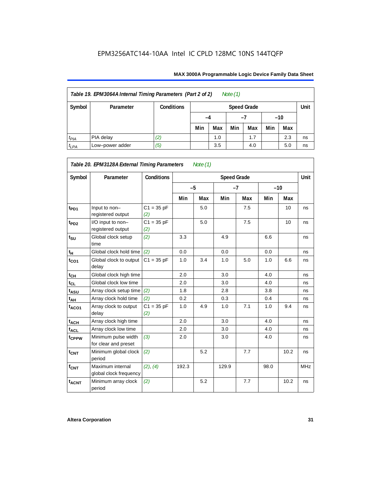| Note $(1)$<br>Table 19. EPM3064A Internal Timing Parameters (Part 2 of 2) |                 |                   |                            |     |     |     |       |     |    |  |
|---------------------------------------------------------------------------|-----------------|-------------------|----------------------------|-----|-----|-----|-------|-----|----|--|
| Symbol                                                                    | Parameter       | <b>Conditions</b> | Unit<br><b>Speed Grade</b> |     |     |     |       |     |    |  |
|                                                                           |                 |                   | -4                         |     |     |     | $-10$ |     |    |  |
|                                                                           |                 |                   | Min                        | Max | Min | Max | Min   | Max |    |  |
| $t_{PIA}$                                                                 | PIA delay       | (2)               |                            | 1.0 |     | 1.7 |       | 2.3 | ns |  |
| $t_{LPA}$                                                                 | Low-power adder | (5)               |                            | 3.5 |     | 4.0 |       | 5.0 | ns |  |

*Table 20. EPM3128A External Timing Parameters Note (1)*

| Symbol            | Parameter                                   | <b>Conditions</b>   |       |     | <b>Speed Grade</b> |      |      |                 | Unit       |
|-------------------|---------------------------------------------|---------------------|-------|-----|--------------------|------|------|-----------------|------------|
|                   |                                             |                     | $-5$  |     |                    | $-7$ |      | $-10$           |            |
|                   |                                             |                     | Min   | Max | Min                | Max  | Min  | Max             |            |
| t <sub>PD1</sub>  | Input to non-<br>registered output          | $C1 = 35 pF$<br>(2) |       | 5.0 |                    | 7.5  |      | 10 <sup>1</sup> | ns         |
| $t_{PD2}$         | I/O input to non-<br>registered output      | $C1 = 35 pF$<br>(2) |       | 5.0 |                    | 7.5  |      | 10              | ns         |
| $t_{\text{SU}}$   | Global clock setup<br>time                  | (2)                 | 3.3   |     | 4.9                |      | 6.6  |                 | ns         |
| $t_H$             | Global clock hold time                      | (2)                 | 0.0   |     | 0.0                |      | 0.0  |                 | ns         |
| $t_{CO1}$         | Global clock to output<br>delay             | $C1 = 35 pF$        | 1.0   | 3.4 | 1.0                | 5.0  | 1.0  | 6.6             | ns         |
| $t_{CH}$          | Global clock high time                      |                     | 2.0   |     | 3.0                |      | 4.0  |                 | ns         |
| $t_{CL}$          | Global clock low time                       |                     | 2.0   |     | 3.0                |      | 4.0  |                 | ns         |
| t <sub>ASU</sub>  | Array clock setup time                      | (2)                 | 1.8   |     | 2.8                |      | 3.8  |                 | ns         |
| t <sub>АН</sub>   | Array clock hold time                       | (2)                 | 0.2   |     | 0.3                |      | 0.4  |                 | ns         |
| $t_{ACO1}$        | Array clock to output<br>delay              | $C1 = 35 pF$<br>(2) | 1.0   | 4.9 | 1.0                | 7.1  | 1.0  | 9.4             | ns         |
| $t_{ACH}$         | Array clock high time                       |                     | 2.0   |     | 3.0                |      | 4.0  |                 | ns         |
| t <sub>ACL</sub>  | Array clock low time                        |                     | 2.0   |     | 3.0                |      | 4.0  |                 | ns         |
| t <sub>CPPW</sub> | Minimum pulse width<br>for clear and preset | (3)                 | 2.0   |     | 3.0                |      | 4.0  |                 | ns         |
| $t_{\text{CNT}}$  | Minimum global clock<br>period              | (2)                 |       | 5.2 |                    | 7.7  |      | 10.2            | ns         |
| f <sub>CNT</sub>  | Maximum internal<br>global clock frequency  | (2), (4)            | 192.3 |     | 129.9              |      | 98.0 |                 | <b>MHz</b> |
| $t_{ACNT}$        | Minimum array clock<br>period               | (2)                 |       | 5.2 |                    | 7.7  |      | 10.2            | ns         |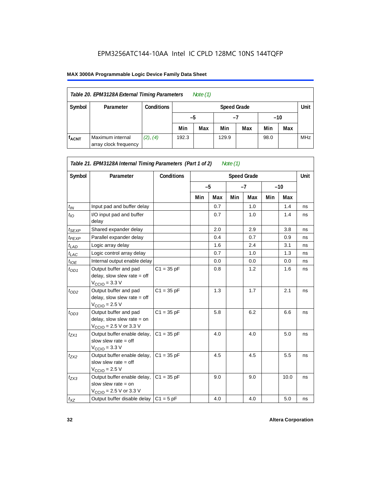| Table 20. EPM3128A External Timing Parameters<br>Note $(1)$                                     |           |                   |                            |                                 |  |  |  |  |            |  |
|-------------------------------------------------------------------------------------------------|-----------|-------------------|----------------------------|---------------------------------|--|--|--|--|------------|--|
| Symbol                                                                                          | Parameter | <b>Conditions</b> | Unit<br><b>Speed Grade</b> |                                 |  |  |  |  |            |  |
|                                                                                                 |           |                   |                            | $-10$<br>-5<br>-7               |  |  |  |  |            |  |
|                                                                                                 |           |                   | Min                        | Max<br>Min<br>Max<br>Min<br>Max |  |  |  |  |            |  |
| Maximum internal<br>(2), (4)<br><b>fACNT</b><br>192.3<br>129.9<br>98.0<br>array clock frequency |           |                   |                            |                                 |  |  |  |  | <b>MHz</b> |  |

| Table 21. EPM3128A Internal Timing Parameters (Part 1 of 2)<br>Note $(1)$ |                                                                                                             |                   |     |      |     |                    |     |       |      |  |
|---------------------------------------------------------------------------|-------------------------------------------------------------------------------------------------------------|-------------------|-----|------|-----|--------------------|-----|-------|------|--|
| Symbol                                                                    | Parameter                                                                                                   | <b>Conditions</b> |     |      |     | <b>Speed Grade</b> |     |       | Unit |  |
|                                                                           |                                                                                                             |                   |     | $-5$ |     | $-7$               |     | $-10$ |      |  |
|                                                                           |                                                                                                             |                   | Min | Max  | Min | Max                | Min | Max   |      |  |
| $t_{IN}$                                                                  | Input pad and buffer delay                                                                                  |                   |     | 0.7  |     | 1.0                |     | 1.4   | ns   |  |
| $t_{IO}$                                                                  | I/O input pad and buffer<br>delay                                                                           |                   |     | 0.7  |     | 1.0                |     | 1.4   | ns   |  |
| $t_{SEXP}$                                                                | Shared expander delay                                                                                       |                   |     | 2.0  |     | 2.9                |     | 3.8   | ns   |  |
| $t_{PEXP}$                                                                | Parallel expander delay                                                                                     |                   |     | 0.4  |     | 0.7                |     | 0.9   | ns   |  |
| $t_{LAD}$                                                                 | Logic array delay                                                                                           |                   |     | 1.6  |     | 2.4                |     | 3.1   | ns   |  |
| $t_{LAC}$                                                                 | Logic control array delay                                                                                   |                   |     | 0.7  |     | 1.0                |     | 1.3   | ns   |  |
| $t_{IOE}$                                                                 | Internal output enable delay                                                                                |                   |     | 0.0  |     | 0.0                |     | 0.0   | ns   |  |
| $t_{OD1}$                                                                 | Output buffer and pad<br>delay, slow slew rate $=$ off<br>$VCCIO = 3.3 V$                                   | $C1 = 35 pF$      |     | 0.8  |     | 1.2                |     | 1.6   | ns   |  |
| $t_{OD2}$                                                                 | Output buffer and pad<br>delay, slow slew rate $=$ off<br>$VCCIO = 2.5 V$                                   | $C1 = 35 pF$      |     | 1.3  |     | 1.7                |     | 2.1   | ns   |  |
| $t_{OD3}$                                                                 | Output buffer and pad<br>delay, slow slew rate $=$ on<br>$V_{\text{CCIO}}$ = 2.5 V or 3.3 V                 | $C1 = 35 pF$      |     | 5.8  |     | 6.2                |     | 6.6   | ns   |  |
| $t_{ZX1}$                                                                 | Output buffer enable delay,<br>slow slew rate $=$ off<br>$V_{\text{CCIO}} = 3.3 \text{ V}$                  | $C1 = 35 pF$      |     | 4.0  |     | 4.0                |     | 5.0   | ns   |  |
| $t_{ZX2}$                                                                 | Output buffer enable delay,<br>slow slew rate $=$ off<br>$V_{\text{CCIO}} = 2.5 V$                          | $C1 = 35 pF$      |     | 4.5  |     | 4.5                |     | 5.5   | ns   |  |
| $t_{ZX3}$                                                                 | Output buffer enable delay,<br>slow slew rate $=$ on<br>$V_{\text{CCIO}} = 2.5 \text{ V or } 3.3 \text{ V}$ | $C1 = 35 pF$      |     | 9.0  |     | 9.0                |     | 10.0  | ns   |  |
| $t_{XZ}$                                                                  | Output buffer disable delay                                                                                 | $C1 = 5pF$        |     | 4.0  |     | 4.0                |     | 5.0   | ns   |  |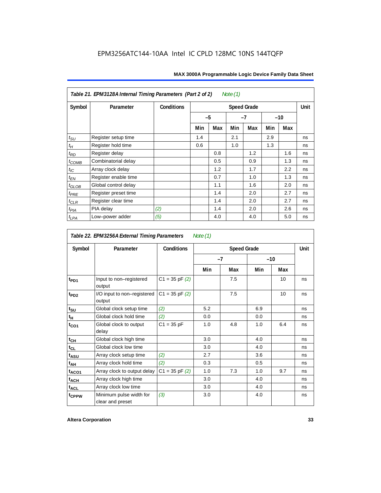| Table 21. EPM3128A Internal Timing Parameters (Part 2 of 2)<br>Note $(1)$ |                      |                   |                    |      |     |      |     |       |    |
|---------------------------------------------------------------------------|----------------------|-------------------|--------------------|------|-----|------|-----|-------|----|
| Symbol                                                                    | Parameter            | <b>Conditions</b> | <b>Speed Grade</b> |      |     |      |     |       |    |
|                                                                           |                      |                   |                    | $-5$ |     | $-7$ |     | $-10$ |    |
|                                                                           |                      |                   | Min                | Max  | Min | Max  | Min | Max   |    |
| $t_{\text{SU}}$                                                           | Register setup time  |                   | 1.4                |      | 2.1 |      | 2.9 |       | ns |
| $t_H\,$                                                                   | Register hold time   |                   | 0.6                |      | 1.0 |      | 1.3 |       | ns |
| $t_{RD}$                                                                  | Register delay       |                   |                    | 0.8  |     | 1.2  |     | 1.6   | ns |
| $t_{COMB}$                                                                | Combinatorial delay  |                   |                    | 0.5  |     | 0.9  |     | 1.3   | ns |
| $t_{IC}$                                                                  | Array clock delay    |                   |                    | 1.2  |     | 1.7  |     | 2.2   | ns |
| $t_{EN}$                                                                  | Register enable time |                   |                    | 0.7  |     | 1.0  |     | 1.3   | ns |
| $t_{GLOB}$                                                                | Global control delay |                   |                    | 1.1  |     | 1.6  |     | 2.0   | ns |
| $t_{PRE}$                                                                 | Register preset time |                   |                    | 1.4  |     | 2.0  |     | 2.7   | ns |
| $t_{\text{CLR}}$                                                          | Register clear time  |                   |                    | 1.4  |     | 2.0  |     | 2.7   | ns |
| $t_{PIA}$                                                                 | PIA delay            | (2)               |                    | 1.4  |     | 2.0  |     | 2.6   | ns |
| $t_{LPA}$                                                                 | Low-power adder      | (5)               |                    | 4.0  |     | 4.0  |     | 5.0   | ns |

*Table 22. EPM3256A External Timing Parameters Note (1)*

| Symbol            | Parameter                                   | <b>Conditions</b>  |     | <b>Speed Grade</b> |     |       | Unit |
|-------------------|---------------------------------------------|--------------------|-----|--------------------|-----|-------|------|
|                   |                                             |                    |     | $-7$               |     | $-10$ |      |
|                   |                                             |                    | Min | Max                | Min | Max   |      |
| t <sub>PD1</sub>  | Input to non-registered<br>output           | $C1 = 35$ pF $(2)$ |     | 7.5                |     | 10    | ns   |
| $t_{PD2}$         | I/O input to non-registered<br>output       | $C1 = 35$ pF $(2)$ |     | 7.5                |     | 10    | ns   |
| $t_{\text{SU}}$   | Global clock setup time                     | (2)                | 5.2 |                    | 6.9 |       | ns   |
| t <sub>H</sub>    | Global clock hold time                      | (2)                | 0.0 |                    | 0.0 |       | ns   |
| $t_{CO1}$         | Global clock to output<br>delay             | $C1 = 35 pF$       | 1.0 | 4.8                | 1.0 | 6.4   | ns   |
| $t_{CH}$          | Global clock high time                      |                    | 3.0 |                    | 4.0 |       | ns   |
| $t_{CL}$          | Global clock low time                       |                    | 3.0 |                    | 4.0 |       | ns   |
| t <sub>ASU</sub>  | Array clock setup time                      | (2)                | 2.7 |                    | 3.6 |       | ns   |
| t <sub>АН</sub>   | Array clock hold time                       | (2)                | 0.3 |                    | 0.5 |       | ns   |
| t <sub>ACO1</sub> | Array clock to output delay                 | $C1 = 35$ pF $(2)$ | 1.0 | 7.3                | 1.0 | 9.7   | ns   |
| $t_{\sf ACH}$     | Array clock high time                       |                    | 3.0 |                    | 4.0 |       | ns   |
| $t_{\sf ACL}$     | Array clock low time                        |                    | 3.0 |                    | 4.0 |       | ns   |
| t <sub>CPPW</sub> | Minimum pulse width for<br>clear and preset | $(3)$              | 3.0 |                    | 4.0 |       | ns   |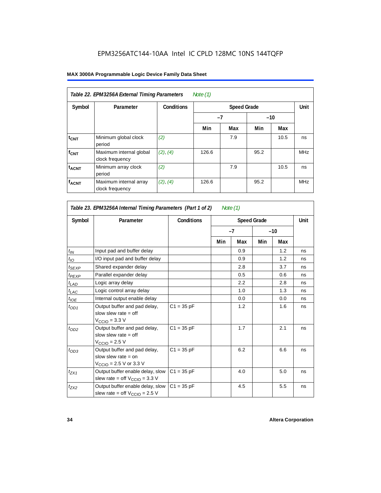| Table 22. EPM3256A External Timing Parameters<br>Note (1) |                                            |                   |       |     |       |      |            |  |  |  |
|-----------------------------------------------------------|--------------------------------------------|-------------------|-------|-----|-------|------|------------|--|--|--|
| Symbol                                                    | Parameter                                  | <b>Conditions</b> |       |     | Unit  |      |            |  |  |  |
|                                                           |                                            |                   | $-7$  |     | $-10$ |      |            |  |  |  |
|                                                           |                                            |                   | Min   | Max | Min   | Max  |            |  |  |  |
| $t_{CNT}$                                                 | Minimum global clock<br>period             | (2)               |       | 7.9 |       | 10.5 | ns         |  |  |  |
| $f_{CNT}$                                                 | Maximum internal global<br>clock frequency | (2), (4)          | 126.6 |     | 95.2  |      | <b>MHz</b> |  |  |  |
| <b>t<sub>ACNT</sub></b>                                   | Minimum array clock<br>period              | (2)               |       | 7.9 |       | 10.5 | ns         |  |  |  |
| <b>fACNT</b>                                              | Maximum internal array<br>clock frequency  | (2), (4)          | 126.6 |     | 95.2  |      | <b>MHz</b> |  |  |  |

| Table 23. EPM3256A Internal Timing Parameters (Part 1 of 2)<br>Note $(1)$ |                                                                                                              |              |     |      |                    |     |      |  |  |  |
|---------------------------------------------------------------------------|--------------------------------------------------------------------------------------------------------------|--------------|-----|------|--------------------|-----|------|--|--|--|
| Symbol                                                                    | Parameter                                                                                                    | Conditions   |     |      | <b>Speed Grade</b> |     | Unit |  |  |  |
|                                                                           |                                                                                                              |              |     | $-7$ | $-10$              |     |      |  |  |  |
|                                                                           |                                                                                                              |              | Min | Max  | Min                | Max |      |  |  |  |
| $t_{IN}$                                                                  | Input pad and buffer delay                                                                                   |              |     | 0.9  |                    | 1.2 | ns   |  |  |  |
| $t_{IO}$                                                                  | I/O input pad and buffer delay                                                                               |              |     | 0.9  |                    | 1.2 | ns   |  |  |  |
| $t_{SEXP}$                                                                | Shared expander delay                                                                                        |              |     | 2.8  |                    | 3.7 | ns   |  |  |  |
| t <sub>PEXP</sub>                                                         | Parallel expander delay                                                                                      |              |     | 0.5  |                    | 0.6 | ns   |  |  |  |
| $t_{LAD}$                                                                 | Logic array delay                                                                                            |              |     | 2.2  |                    | 2.8 | ns   |  |  |  |
| $t_{LAC}$                                                                 | Logic control array delay                                                                                    |              |     | 1.0  |                    | 1.3 | ns   |  |  |  |
| $t_{IOE}$                                                                 | Internal output enable delay                                                                                 |              |     | 0.0  |                    | 0.0 | ns   |  |  |  |
| $t_{OD1}$                                                                 | Output buffer and pad delay,<br>slow slew rate $=$ off<br>$V_{\text{CCIO}} = 3.3 \text{ V}$                  | $C1 = 35 pF$ |     | 1.2  |                    | 1.6 | ns   |  |  |  |
| $t_{OD2}$                                                                 | Output buffer and pad delay,<br>slow slew rate $=$ off<br>$V_{\text{CCIO}} = 2.5 V$                          | $C1 = 35 pF$ |     | 1.7  |                    | 2.1 | ns   |  |  |  |
| $t_{OD3}$                                                                 | Output buffer and pad delay,<br>slow slew rate $=$ on<br>$V_{\text{CCIO}} = 2.5 \text{ V or } 3.3 \text{ V}$ | $C1 = 35 pF$ |     | 6.2  |                    | 6.6 | ns   |  |  |  |
| $t_{ZX1}$                                                                 | Output buffer enable delay, slow<br>slew rate = off $V_{\text{CCIO}} = 3.3$ V                                | $C1 = 35 pF$ |     | 4.0  |                    | 5.0 | ns   |  |  |  |
| $t_{ZX2}$                                                                 | Output buffer enable delay, slow<br>slew rate = off $V_{\text{CCIO}} = 2.5$ V                                | $C1 = 35 pF$ |     | 4.5  |                    | 5.5 | ns   |  |  |  |

1

 $\Gamma$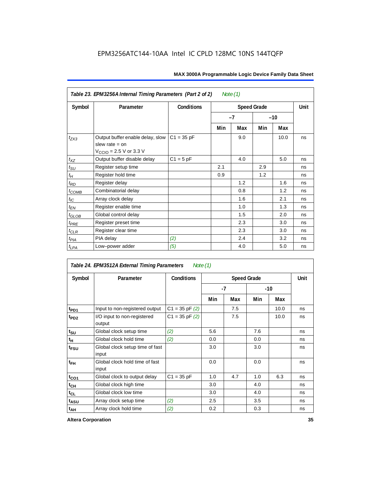|                               | Table 23. EPM3256A Internal Timing Parameters (Part 2 of 2)<br>Note $(1)$                                   |                   |     |               |                    |      |             |  |  |  |  |
|-------------------------------|-------------------------------------------------------------------------------------------------------------|-------------------|-----|---------------|--------------------|------|-------------|--|--|--|--|
| Symbol                        | Parameter                                                                                                   | <b>Conditions</b> |     |               | <b>Speed Grade</b> |      | <b>Unit</b> |  |  |  |  |
|                               |                                                                                                             |                   |     | $-7$<br>$-10$ |                    |      |             |  |  |  |  |
|                               |                                                                                                             |                   | Min | Max           | Min                | Max  |             |  |  |  |  |
| $t_{ZX3}$                     | Output buffer enable delay, slow<br>slew rate $=$ on<br>$V_{\text{CCIO}} = 2.5 \text{ V or } 3.3 \text{ V}$ | $C1 = 35 pF$      |     | 9.0           |                    | 10.0 | ns          |  |  |  |  |
| $t_{XZ}$                      | Output buffer disable delay                                                                                 | $C1 = 5pF$        |     | 4.0           |                    | 5.0  | ns          |  |  |  |  |
| $t_{\text{SU}}$               | Register setup time                                                                                         |                   | 2.1 |               | 2.9                |      | ns          |  |  |  |  |
| $t_H$                         | Register hold time                                                                                          |                   | 0.9 |               | 1.2                |      | ns          |  |  |  |  |
| $t_{RD}$                      | Register delay                                                                                              |                   |     | 1.2           |                    | 1.6  | ns          |  |  |  |  |
| $t_{COMB}$                    | Combinatorial delay                                                                                         |                   |     | 0.8           |                    | 1.2  | ns          |  |  |  |  |
| $t_{IC}$                      | Array clock delay                                                                                           |                   |     | 1.6           |                    | 2.1  | ns          |  |  |  |  |
| $t_{EN}$                      | Register enable time                                                                                        |                   |     | 1.0           |                    | 1.3  | ns          |  |  |  |  |
| $t_{\scriptstyle\text{GLOB}}$ | Global control delay                                                                                        |                   |     | 1.5           |                    | 2.0  | ns          |  |  |  |  |
| $t_{PRE}$                     | Register preset time                                                                                        |                   |     | 2.3           |                    | 3.0  | ns          |  |  |  |  |
| $t_{\text{CLR}}$              | Register clear time                                                                                         |                   |     | 2.3           |                    | 3.0  | ns          |  |  |  |  |
| t <sub>PIA</sub>              | PIA delay                                                                                                   | (2)               |     | 2.4           |                    | 3.2  | ns          |  |  |  |  |
| $t_{LPA}$                     | Low-power adder                                                                                             | (5)               |     | 4.0           |                    | 5.0  | ns          |  |  |  |  |

*Table 24. EPM3512A External Timing Parameters Note (1)*

| Symbol           | Parameter                                | <b>Conditions</b>  |     |      | Unit |      |    |
|------------------|------------------------------------------|--------------------|-----|------|------|------|----|
|                  |                                          |                    |     | $-7$ | -10  |      |    |
|                  |                                          |                    | Min | Max  | Min  | Max  |    |
| $t_{PD1}$        | Input to non-registered output           | $C1 = 35$ pF $(2)$ |     | 7.5  |      | 10.0 | ns |
| t <sub>PD2</sub> | I/O input to non-registered<br>output    | $C1 = 35$ pF $(2)$ |     | 7.5  |      | 10.0 | ns |
| $t_{\text{SU}}$  | Global clock setup time                  | (2)                | 5.6 |      | 7.6  |      | ns |
| $t_H$            | Global clock hold time                   | (2)                | 0.0 |      | 0.0  |      | ns |
| t <sub>FSU</sub> | Global clock setup time of fast<br>input |                    | 3.0 |      | 3.0  |      | ns |
| $t_{FH}$         | Global clock hold time of fast<br>input  |                    | 0.0 |      | 0.0  |      | ns |
| $t_{CO1}$        | Global clock to output delay             | $C1 = 35 pF$       | 1.0 | 4.7  | 1.0  | 6.3  | ns |
| $t_{CH}$         | Global clock high time                   |                    | 3.0 |      | 4.0  |      | ns |
| $t_{CL}$         | Global clock low time                    |                    | 3.0 |      | 4.0  |      | ns |
| $t_{ASU}$        | Array clock setup time                   | (2)                | 2.5 |      | 3.5  |      | ns |
| $t_{AH}$         | Array clock hold time                    | (2)                | 0.2 |      | 0.3  |      | ns |

**Altera Corporation 35**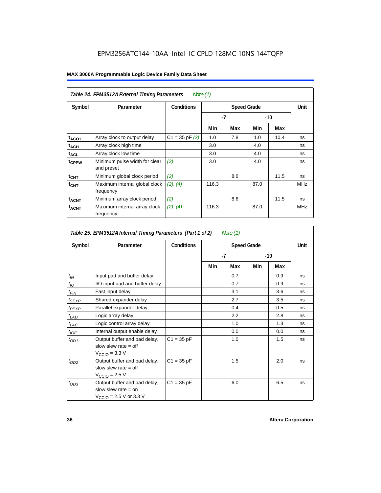| MAX 3000A Programmable Logic Device Family Data Sheet |  |  |
|-------------------------------------------------------|--|--|
|-------------------------------------------------------|--|--|

| Table 24. EPM3512A External Timing Parameters<br>Note (1) |                                             |                   |                    |      |      |       |            |
|-----------------------------------------------------------|---------------------------------------------|-------------------|--------------------|------|------|-------|------------|
| Symbol                                                    | Parameter                                   | <b>Conditions</b> | <b>Speed Grade</b> |      |      | Unit  |            |
|                                                           |                                             |                   |                    | $-7$ |      | $-10$ |            |
|                                                           |                                             |                   | Min                | Max  | Min  | Max   |            |
| t <sub>ACO1</sub>                                         | Array clock to output delay                 | $C1 = 35 pF(2)$   | 1.0                | 7.8  | 1.0  | 10.4  | ns         |
| $t_{ACH}$                                                 | Array clock high time                       |                   | 3.0                |      | 4.0  |       | ns         |
| <b>t<sub>ACL</sub></b>                                    | Array clock low time                        |                   | 3.0                |      | 4.0  |       | ns         |
| t <sub>CPPW</sub>                                         | Minimum pulse width for clear<br>and preset | (3)               | 3.0                |      | 4.0  |       | ns         |
| $t_{CNT}$                                                 | Minimum global clock period                 | (2)               |                    | 8.6  |      | 11.5  | ns         |
| f <sub>CNT</sub>                                          | Maximum internal global clock<br>frequency  | (2), (4)          | 116.3              |      | 87.0 |       | <b>MHz</b> |
| $t_{ACNT}$                                                | Minimum array clock period                  | (2)               |                    | 8.6  |      | 11.5  | ns         |
| <b>f<sub>ACNT</sub></b>                                   | Maximum internal array clock<br>frequency   | (2), (4)          | 116.3              |      | 87.0 |       | <b>MHz</b> |

| Table 25. EPM3512A Internal Timing Parameters (Part 1 of 2) |  | Note (1) |
|-------------------------------------------------------------|--|----------|
|-------------------------------------------------------------|--|----------|

| Symbol        | Parameter                                                                                                    | <b>Conditions</b> |     | Unit |     |       |    |
|---------------|--------------------------------------------------------------------------------------------------------------|-------------------|-----|------|-----|-------|----|
|               |                                                                                                              |                   |     | -7   |     | $-10$ |    |
|               |                                                                                                              |                   | Min | Max  | Min | Max   |    |
| $t_{IN}$      | Input pad and buffer delay                                                                                   |                   |     | 0.7  |     | 0.9   | ns |
| $t_{IO}$      | I/O input pad and buffer delay                                                                               |                   |     | 0.7  |     | 0.9   | ns |
| $t_{\sf FIN}$ | Fast input delay                                                                                             |                   |     | 3.1  |     | 3.6   | ns |
| $t_{SEXP}$    | Shared expander delay                                                                                        |                   |     | 2.7  |     | 3.5   | ns |
| $t_{PEXP}$    | Parallel expander delay                                                                                      |                   |     | 0.4  |     | 0.5   | ns |
| $t_{LAD}$     | Logic array delay                                                                                            |                   |     | 2.2  |     | 2.8   | ns |
| $t_{LAC}$     | Logic control array delay                                                                                    |                   |     | 1.0  |     | 1.3   | ns |
| $t_{IOE}$     | Internal output enable delay                                                                                 |                   |     | 0.0  |     | 0.0   | ns |
| $t_{OD1}$     | Output buffer and pad delay,<br>slow slew rate $=$ off<br>$VCCIO = 3.3 V$                                    | $C1 = 35 pF$      |     | 1.0  |     | 1.5   | ns |
| $t_{OD2}$     | Output buffer and pad delay,<br>slow slew rate $=$ off<br>$V_{\text{CCIO}} = 2.5 V$                          | $C1 = 35 pF$      |     | 1.5  |     | 2.0   | ns |
| $t_{OD3}$     | Output buffer and pad delay,<br>slow slew rate $=$ on<br>$V_{\text{CCIO}} = 2.5 \text{ V or } 3.3 \text{ V}$ | $C1 = 35 pF$      |     | 6.0  |     | 6.5   | ns |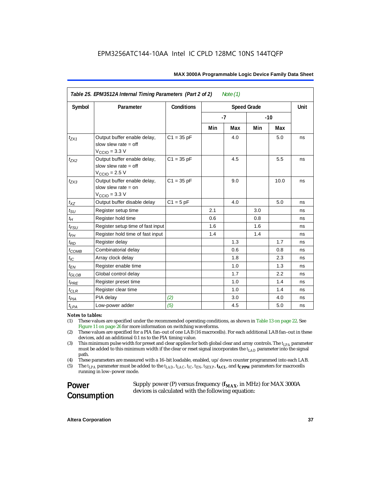| Table 25. EPM3512A Internal Timing Parameters (Part 2 of 2)<br>Note $(1)$ |                                                                                            |                                         |     |      |      |       |    |
|---------------------------------------------------------------------------|--------------------------------------------------------------------------------------------|-----------------------------------------|-----|------|------|-------|----|
| Symbol                                                                    | Parameter                                                                                  | <b>Conditions</b><br><b>Speed Grade</b> |     |      | Unit |       |    |
|                                                                           |                                                                                            |                                         |     | $-7$ |      | $-10$ |    |
|                                                                           |                                                                                            |                                         | Min | Max  | Min  | Max   |    |
| $t_{ZX1}$                                                                 | Output buffer enable delay,<br>slow slew rate $=$ off<br>$V_{\text{CCIO}} = 3.3 \text{ V}$ | $C1 = 35 pF$                            |     | 4.0  |      | 5.0   | ns |
| $t_{ZX2}$                                                                 | Output buffer enable delay,<br>slow slew rate $=$ off<br>$V_{\text{CCIO}} = 2.5 V$         | $C1 = 35 pF$                            |     | 4.5  |      | 5.5   | ns |
| $t_{ZX3}$                                                                 | Output buffer enable delay,<br>slow slew rate $=$ on<br>$V_{\text{CCIO}} = 3.3 \text{ V}$  | $C1 = 35 pF$                            |     | 9.0  |      | 10.0  | ns |
| $t_{XZ}$                                                                  | Output buffer disable delay                                                                | $C1 = 5 pF$                             |     | 4.0  |      | 5.0   | ns |
| $t_{\text{SU}}$                                                           | Register setup time                                                                        |                                         | 2.1 |      | 3.0  |       | ns |
| $t_H$                                                                     | Register hold time                                                                         |                                         | 0.6 |      | 0.8  |       | ns |
| $t_{FSU}$                                                                 | Register setup time of fast input                                                          |                                         | 1.6 |      | 1.6  |       | ns |
| $t_{FH}$                                                                  | Register hold time of fast input                                                           |                                         | 1.4 |      | 1.4  |       | ns |
| $t_{RD}$                                                                  | Register delay                                                                             |                                         |     | 1.3  |      | 1.7   | ns |
| $t_{COMB}$                                                                | Combinatorial delay                                                                        |                                         |     | 0.6  |      | 0.8   | ns |
| $t_{IC}$                                                                  | Array clock delay                                                                          |                                         |     | 1.8  |      | 2.3   | ns |
| $t_{EN}$                                                                  | Register enable time                                                                       |                                         |     | 1.0  |      | 1.3   | ns |
| $t_{\scriptstyle\text{GLOB}}$                                             | Global control delay                                                                       |                                         |     | 1.7  |      | 2.2   | ns |
| $t_{PRE}$                                                                 | Register preset time                                                                       |                                         |     | 1.0  |      | 1.4   | ns |
| $t_{\text{CLR}}$                                                          | Register clear time                                                                        |                                         |     | 1.0  |      | 1.4   | ns |
| $t_{PIA}$                                                                 | PIA delay                                                                                  | (2)                                     |     | 3.0  |      | 4.0   | ns |
| $t_{LPA}$                                                                 | Low-power adder                                                                            | (5)                                     |     | 4.5  |      | 5.0   | ns |

#### *Notes to tables:*

(1) These values are specified under the recommended operating conditions, as shown in Table 13 on page 22. See Figure 11 on page 26 for more information on switching waveforms.

(2) These values are specified for a PIA fan–out of one LAB (16 macrocells). For each additional LAB fan–out in these devices, add an additional 0.1 ns to the PIA timing value.

(3) This minimum pulse width for preset and clear applies for both global clear and array controls. The *tLPA* parameter must be added to this minimum width if the clear or reset signal incorporates the  $t_{LAD}$  parameter into the signal path.

(4) These parameters are measured with a 16–bit loadable, enabled, up/down counter programmed into each LAB.

(5) The  $t_{LPA}$  parameter must be added to the  $t_{LAD}$ ,  $t_{LAC}$ ,  $t_{IC}$ ,  $t_{EN}$ ,  $t_{SEXP}$ ,  $t_{ACL}$ , and  $t_{CPPW}$  parameters for macrocells running in low–power mode.

**Power Consumption** Supply power (P) versus frequency ( $f_{MAX}$ , in MHz) for MAX 3000A devices is calculated with the following equation: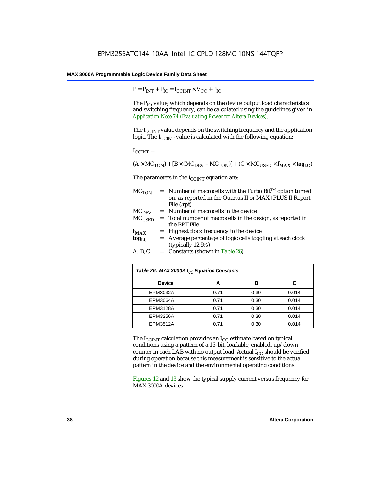$P = P_{INT} + P_{IO} = I_{CCINT} \times V_{CC} + P_{IO}$ 

The  $P_{IO}$  value, which depends on the device output load characteristics and switching frequency, can be calculated using the guidelines given in *[Application Note 74 \(Evaluating Power for Altera Devices\)](http://www.altera.com/literature/an/an074.pdf)*.

The I<sub>CCINT</sub> value depends on the switching frequency and the application logic. The  $I_{CCTNT}$  value is calculated with the following equation:

 $I_{\text{CCINT}} =$ 

$$
(A\times MC_{TON})+[B\times (MC_{DEV}-MC_{TON})]+(C\times MC_{USED}\times f_{MAX}\times tog_{LC})
$$

The parameters in the  $I_{CCTNT}$  equation are:

| $MC_{TON}$        | Number of macrocells with the Turbo Bit™ option turned<br>on, as reported in the Quartus II or MAX+PLUS II Report |
|-------------------|-------------------------------------------------------------------------------------------------------------------|
|                   | File (.rpt)                                                                                                       |
| MC <sub>DFV</sub> | = Number of macrocells in the device                                                                              |
| $MC_{USED}$       | = Total number of macrocells in the design, as reported in                                                        |
|                   | the RPT File                                                                                                      |
| $f_{MAX}$         | = Highest clock frequency to the device                                                                           |
| $tog_{LC}$        | = Average percentage of logic cells toggling at each clock                                                        |
|                   | (typically 12.5%)                                                                                                 |
| A, B, C           | $=$ Constants (shown in Table 26)                                                                                 |

| Table 26. MAX 3000A I <sub>CC</sub> Equation Constants |      |      |       |  |
|--------------------------------------------------------|------|------|-------|--|
| <b>Device</b>                                          | А    | B    |       |  |
| EPM3032A                                               | 0.71 | 0.30 | 0.014 |  |
| <b>EPM3064A</b>                                        | 0.71 | 0.30 | 0.014 |  |
| <b>EPM3128A</b>                                        | 0.71 | 0.30 | 0.014 |  |
| <b>EPM3256A</b>                                        | 0.71 | 0.30 | 0.014 |  |
| <b>EPM3512A</b>                                        | 0.71 | 0.30 | 0.014 |  |

The  $I_{\text{CCINT}}$  calculation provides an  $I_{\text{CC}}$  estimate based on typical conditions using a pattern of a 16–bit, loadable, enabled, up/down counter in each LAB with no output load. Actual  $I_{CC}$  should be verified during operation because this measurement is sensitive to the actual pattern in the device and the environmental operating conditions.

Figures 12 and 13 show the typical supply current versus frequency for MAX 3000A devices.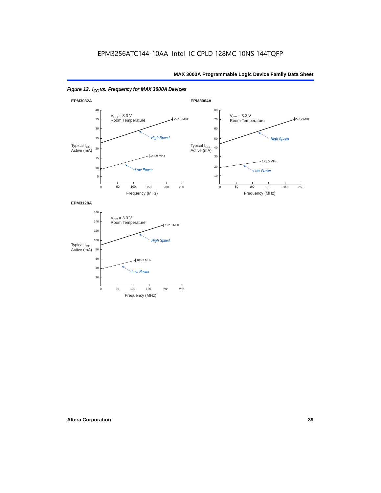



250

0

60

20

40

Frequency (MHz)

50 100 150 200

*Low Power*

108.7 MHz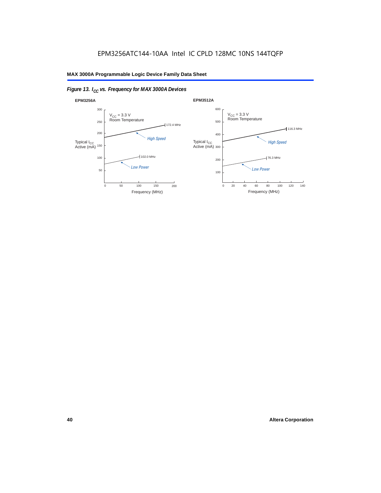

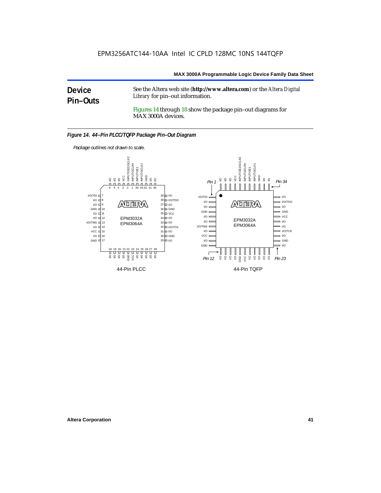### **Device Pin–Outs**

See the Altera web site (**http://www.altera.com**) or the *Altera Digital Library* for pin–out information.

Figures 14 through 18 show the package pin–out diagrams for MAX 3000A devices.



*Package outlines not drawn to scale.*

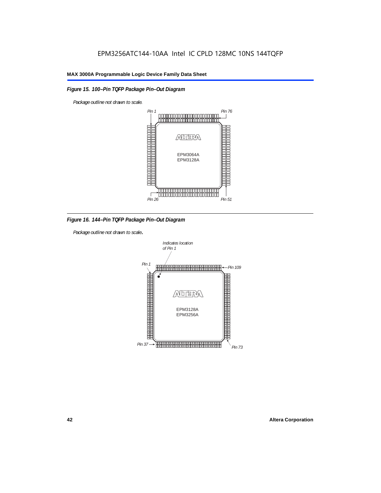### *Figure 15. 100–Pin TQFP Package Pin–Out Diagram*

*Package outline not drawn to scale.*



*Figure 16. 144–Pin TQFP Package Pin–Out Diagram*

*Package outline not drawn to scale*.

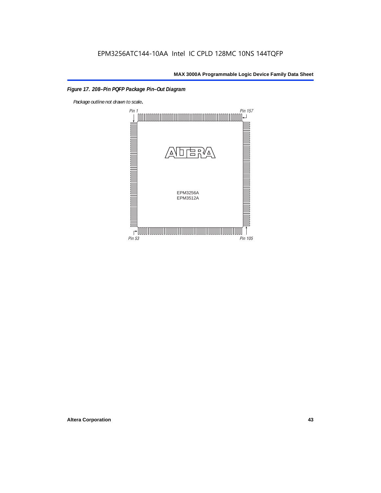### *Figure 17. 208–Pin PQFP Package Pin–Out Diagram*

*Package outline not drawn to scale*.

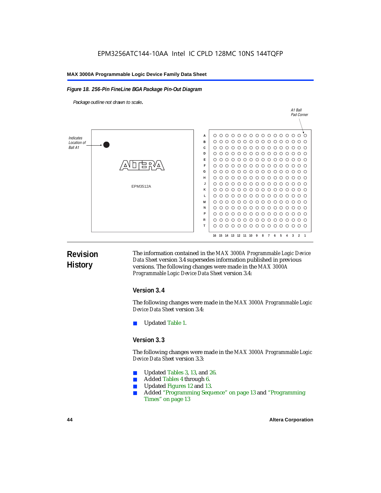### *Figure 18. 256-Pin FineLine BGA Package Pin-Out Diagram*

*Package outline not drawn to scale*.



### **Revision History**

The information contained in the *MAX 3000A Programmable Logic Device Data Sheet* version 3.4 supersedes information published in previous versions. The following changes were made in the *MAX 3000A Programmable Logic Device Data Sheet* version 3.4:

### **Version 3.4**

The following changes were made in the *MAX 3000A Programmable Logic Device Data Sheet* version 3.4:

Updated Table 1.

### **Version 3.3**

The following changes were made in the *MAX 3000A Programmable Logic Device Data Sheet* version 3.3:

- Updated Tables 3, 13, and 26.
- Added Tables 4 through 6.
- Updated Figures 12 and 13.
- Added "Programming Sequence" on page 13 and "Programming Times" on page 13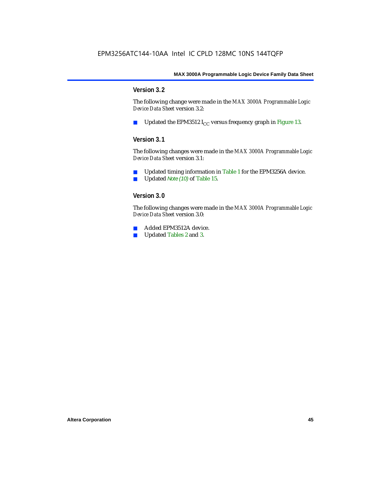### **Version 3.2**

The following change were made in the *MAX 3000A Programmable Logic Device Data Sheet* version 3.2:

■ Updated the EPM3512  $I_{CC}$  versus frequency graph in Figure 13.

### **Version 3.1**

The following changes were made in the *MAX 3000A Programmable Logic Device Data Sheet* version 3.1:

- Updated timing information in Table 1 for the EPM3256A device.
- Updated *Note (10)* of Table 15.

### **Version 3.0**

The following changes were made in the *MAX 3000A Programmable Logic Device Data Sheet* version 3.0:

- Added EPM3512A device.
- Updated Tables 2 and 3.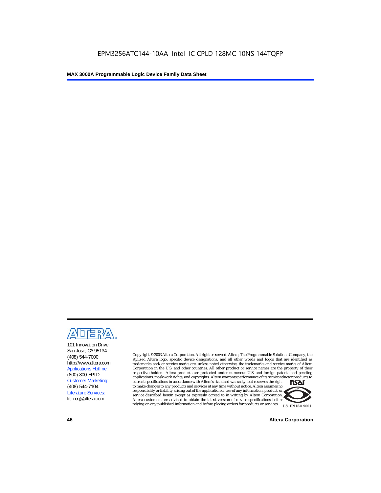

101 Innovation Drive San Jose, CA 95134 (408) 544-7000 http://www.altera.com Applications Hotline: (800) 800-EPLD Customer Marketing: (408) 544-7104 Literature Services: lit\_req@altera.com

Copyright © 2003 Altera Corporation. All rights reserved. Altera, The Programmable Solutions Company, the stylized Altera logo, specific device designations, and all other words and logos that are identified as trademarks and/or service marks are, unless noted otherwise, the trademarks and service marks of Altera Corporation in the U.S. and other countries. All other product or service names are the property of their respective holders. Altera products are protected under numerous U.S. and foreign patents and pending applications, maskwork rights, and copyrights. Altera warrants performance of its semiconductor products to current specifications in accordance with Altera's standard warranty, but reserves the right **TSAI** to make changes to any products and services at any time without notice. Altera assumes no responsibility or liability arising out of the application or use of any information, product, or service described herein except as expressly agreed to in writing by Altera Corporation.

Altera customers are advised to obtain the latest version of device specifications before relying on any published information and before placing orders for products or services



**46 Altera Corporation**